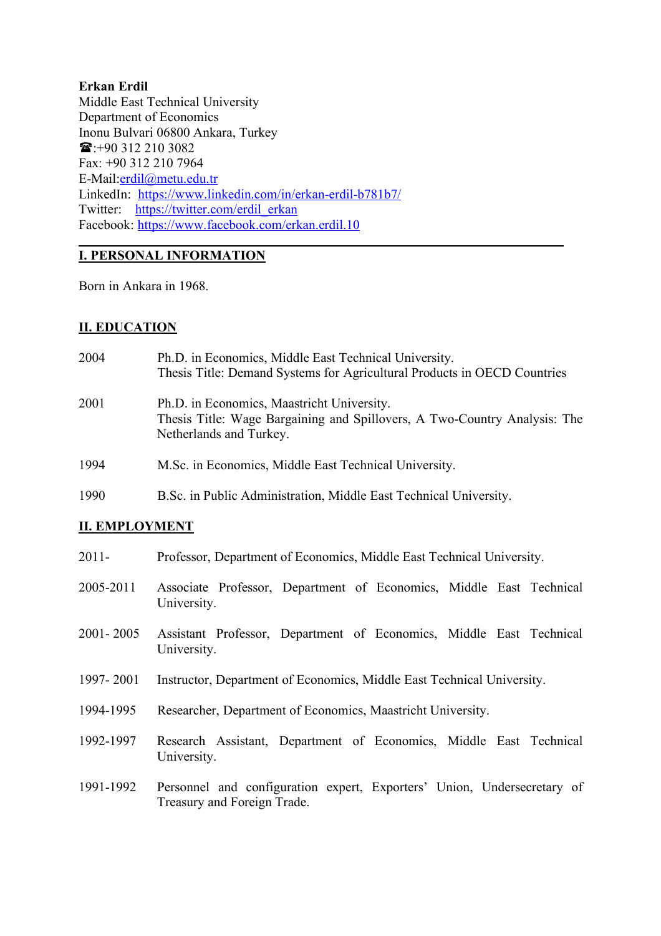**Erkan Erdil** Middle East Technical University Department of Economics Inonu Bulvari 06800 Ankara, Turkey  $\mathbf{\widehat{m}}$ :+90 312 210 3082 Fax: +90 312 210 7964 E-Mail:erdil@metu.edu.tr LinkedIn: https://www.linkedin.com/in/erkan-erdil-b781b7/ Twitter: https://twitter.com/erdil\_erkan Facebook: https://www.facebook.com/erkan.erdil.10

## **I. PERSONAL INFORMATION**

Born in Ankara in 1968.

#### **II. EDUCATION**

| 2004 | Ph.D. in Economics, Middle East Technical University.<br>Thesis Title: Demand Systems for Agricultural Products in OECD Countries                  |
|------|----------------------------------------------------------------------------------------------------------------------------------------------------|
| 2001 | Ph.D. in Economics, Maastricht University.<br>Thesis Title: Wage Bargaining and Spillovers, A Two-Country Analysis: The<br>Netherlands and Turkey. |
| 1994 | M.Sc. in Economics, Middle East Technical University.                                                                                              |
| 1990 | B.Sc. in Public Administration, Middle East Technical University.                                                                                  |

## **II. EMPLOYMENT**

- 2011- Professor, Department of Economics, Middle East Technical University.
- 2005-2011 Associate Professor, Department of Economics, Middle East Technical University.
- 2001- 2005 Assistant Professor, Department of Economics, Middle East Technical University.
- 1997- 2001 Instructor, Department of Economics, Middle East Technical University.
- 1994-1995 Researcher, Department of Economics, Maastricht University.
- 1992-1997 Research Assistant, Department of Economics, Middle East Technical University.
- 1991-1992 Personnel and configuration expert, Exporters' Union, Undersecretary of Treasury and Foreign Trade.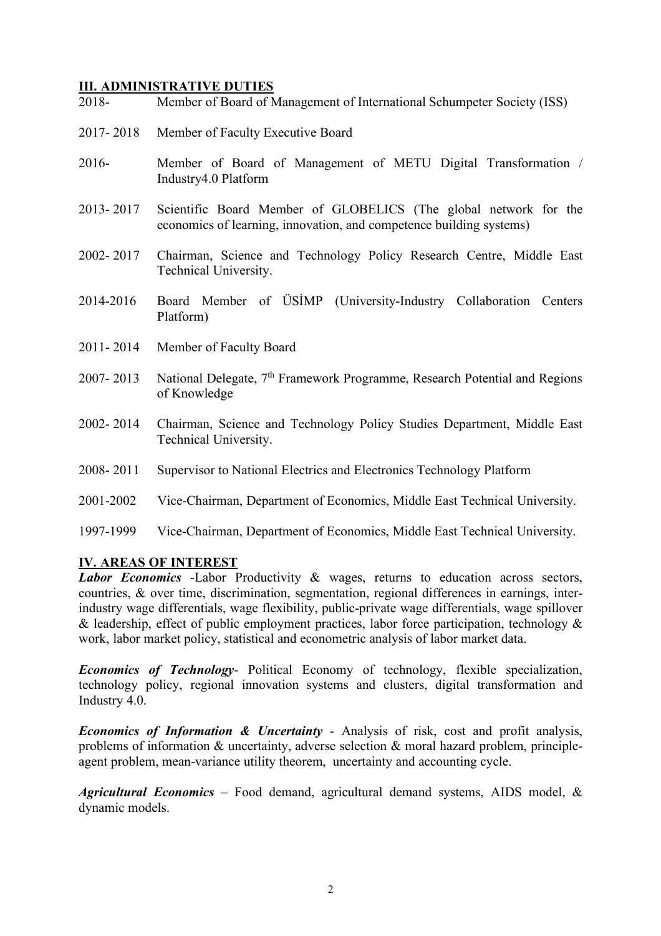### **III. ADMINISTRATIVE DUTIES**

- 2018- Member of Board of Management of International Schumpeter Society (ISS)
- 2017- 2018 Member of Faculty Executive Board
- 2016- Member of Board of Management of METU Digital Transformation / Industry4.0 Platform
- 2013- 2017 Scientific Board Member of GLOBELICS (The global network for the economics of learning, innovation, and competence building systems)
- 2002- 2017 Chairman, Science and Technology Policy Research Centre, Middle East Technical University.
- 2014-2016 Board Member of ÜSİMP (University-Industry Collaboration Centers Platform)
- 2011- 2014 Member of Faculty Board
- 2007- 2013 National Delegate,  $7<sup>th</sup>$  Framework Programme, Research Potential and Regions of Knowledge
- 2002- 2014 Chairman, Science and Technology Policy Studies Department, Middle East Technical University.
- 2008- 2011 Supervisor to National Electrics and Electronics Technology Platform
- 2001-2002 Vice-Chairman, Department of Economics, Middle East Technical University.
- 1997-1999 Vice-Chairman, Department of Economics, Middle East Technical University.

#### **IV. AREAS OF INTEREST**

*Labor Economics* -Labor Productivity & wages, returns to education across sectors, countries, & over time, discrimination, segmentation, regional differences in earnings, interindustry wage differentials, wage flexibility, public-private wage differentials, wage spillover & leadership, effect of public employment practices, labor force participation, technology  $\&$ work, labor market policy, statistical and econometric analysis of labor market data.

*Economics of Technology*- Political Economy of technology, flexible specialization, technology policy, regional innovation systems and clusters, digital transformation and Industry 4.0.

*Economics of Information & Uncertainty* - Analysis of risk, cost and profit analysis, problems of information & uncertainty, adverse selection & moral hazard problem, principleagent problem, mean-variance utility theorem, uncertainty and accounting cycle.

*Agricultural Economics* – Food demand, agricultural demand systems, AIDS model, & dynamic models.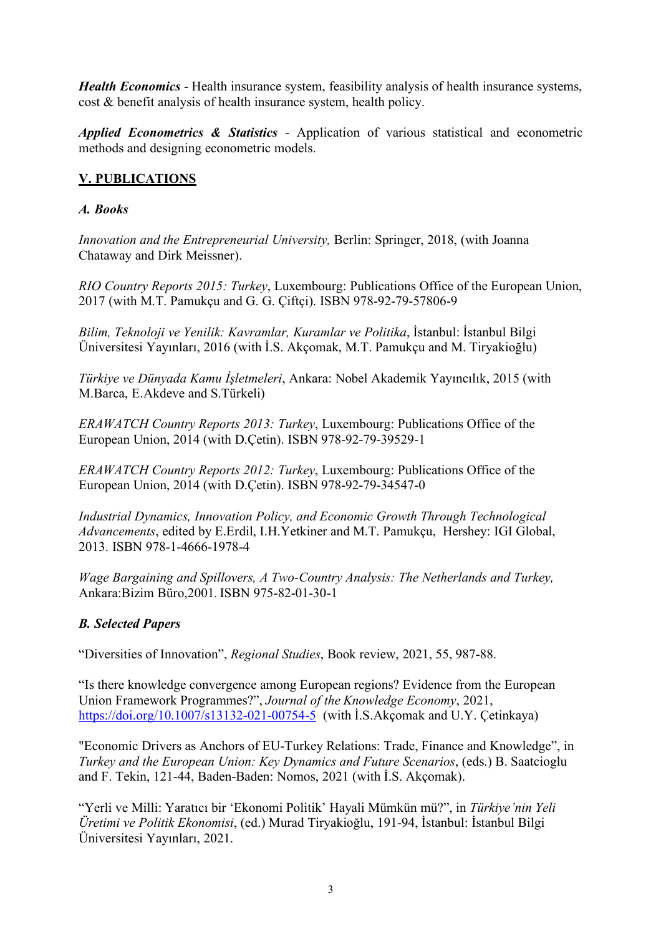*Health Economics* - Health insurance system, feasibility analysis of health insurance systems, cost & benefit analysis of health insurance system, health policy.

*Applied Econometrics & Statistics* - Application of various statistical and econometric methods and designing econometric models.

# **V. PUBLICATIONS**

## *A. Books*

*Innovation and the Entrepreneurial University,* Berlin: Springer, 2018, (with Joanna Chataway and Dirk Meissner).

*RIO Country Reports 2015: Turkey*, Luxembourg: Publications Office of the European Union, 2017 (with M.T. Pamukçu and G. G. Çiftçi). ISBN 978-92-79-57806-9

*Bilim, Teknoloji ve Yenilik: Kavramlar, Kuramlar ve Politika*, İstanbul: İstanbul Bilgi Üniversitesi Yayınları, 2016 (with İ.S. Akçomak, M.T. Pamukçu and M. Tiryakioğlu)

*Türkiye ve Dünyada Kamu İşletmeleri*, Ankara: Nobel Akademik Yayıncılık, 2015 (with M.Barca, E.Akdeve and S.Türkeli)

*ERAWATCH Country Reports 2013: Turkey*, Luxembourg: Publications Office of the European Union, 2014 (with D.Çetin). ISBN 978-92-79-39529-1

*ERAWATCH Country Reports 2012: Turkey*, Luxembourg: Publications Office of the European Union, 2014 (with D.Çetin). ISBN 978-92-79-34547-0

*Industrial Dynamics, Innovation Policy, and Economic Growth Through Technological Advancements*, edited by E.Erdil, I.H.Yetkiner and M.T. Pamukçu, Hershey: IGI Global, 2013. ISBN 978-1-4666-1978-4

*Wage Bargaining and Spillovers, A Two-Country Analysis: The Netherlands and Turkey,*  Ankara:Bizim Büro,2001*.* ISBN 975-82-01-30-1

## *B. Selected Papers*

"Diversities of Innovation", *Regional Studies*, Book review, 2021, 55, 987-88.

"Is there knowledge convergence among European regions? Evidence from the European Union Framework Programmes?", *Journal of the Knowledge Economy*, 2021, https://doi.org/10.1007/s13132-021-00754-5 (with İ.S.Akçomak and U.Y. Çetinkaya)

"Economic Drivers as Anchors of EU-Turkey Relations: Trade, Finance and Knowledge", in *Turkey and the European Union: Key Dynamics and Future Scenarios*, (eds.) B. Saatcioglu and F. Tekin, 121-44, Baden-Baden: Nomos, 2021 (with İ.S. Akçomak).

"Yerli ve Milli: Yaratıcı bir 'Ekonomi Politik' Hayali Mümkün mü?", in *Türkiye'nin Yeli Üretimi ve Politik Ekonomisi*, (ed.) Murad Tiryakioğlu, 191-94, İstanbul: İstanbul Bilgi Üniversitesi Yayınları, 2021.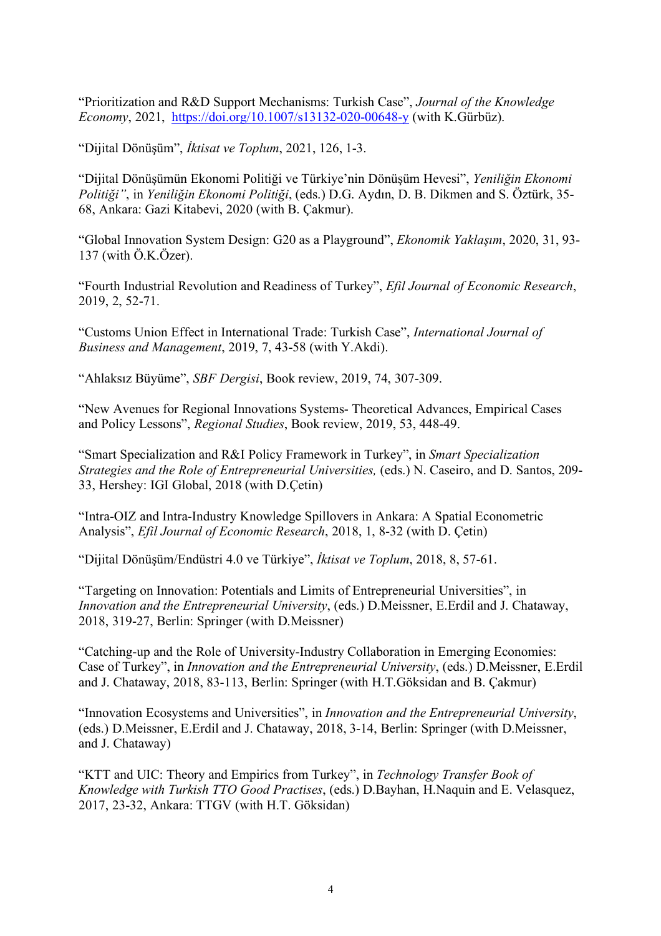"Prioritization and R&D Support Mechanisms: Turkish Case", *Journal of the Knowledge Economy*, 2021, https://doi.org/10.1007/s13132-020-00648-y (with K.Gürbüz).

"Dijital Dönüşüm", *İktisat ve Toplum*, 2021, 126, 1-3.

"Dijital Dönüşümün Ekonomi Politiği ve Türkiye'nin Dönüşüm Hevesi", *Yeniliğin Ekonomi Politiği"*, in *Yeniliğin Ekonomi Politiği*, (eds.) D.G. Aydın, D. B. Dikmen and S. Öztürk, 35- 68, Ankara: Gazi Kitabevi, 2020 (with B. Çakmur).

"Global Innovation System Design: G20 as a Playground", *Ekonomik Yaklaşım*, 2020, 31, 93- 137 (with Ö.K.Özer).

"Fourth Industrial Revolution and Readiness of Turkey", *Efil Journal of Economic Research*, 2019, 2, 52-71.

"Customs Union Effect in International Trade: Turkish Case", *International Journal of Business and Management*, 2019, 7, 43-58 (with Y.Akdi).

"Ahlaksız Büyüme", *SBF Dergisi*, Book review, 2019, 74, 307-309.

"New Avenues for Regional Innovations Systems- Theoretical Advances, Empirical Cases and Policy Lessons", *Regional Studies*, Book review, 2019, 53, 448-49.

"Smart Specialization and R&I Policy Framework in Turkey", in *Smart Specialization Strategies and the Role of Entrepreneurial Universities, (eds.) N. Caseiro, and D. Santos, 209-*33, Hershey: IGI Global, 2018 (with D.Çetin)

"Intra-OIZ and Intra-Industry Knowledge Spillovers in Ankara: A Spatial Econometric Analysis", *Efil Journal of Economic Research*, 2018, 1, 8-32 (with D. Çetin)

"Dijital Dönüşüm/Endüstri 4.0 ve Türkiye", *İktisat ve Toplum*, 2018, 8, 57-61.

"Targeting on Innovation: Potentials and Limits of Entrepreneurial Universities", in *Innovation and the Entrepreneurial University*, (eds.) D.Meissner, E.Erdil and J. Chataway, 2018, 319-27, Berlin: Springer (with D.Meissner)

"Catching-up and the Role of University-Industry Collaboration in Emerging Economies: Case of Turkey", in *Innovation and the Entrepreneurial University*, (eds.) D.Meissner, E.Erdil and J. Chataway, 2018, 83-113, Berlin: Springer (with H.T.Göksidan and B. Çakmur)

"Innovation Ecosystems and Universities", in *Innovation and the Entrepreneurial University*, (eds.) D.Meissner, E.Erdil and J. Chataway, 2018, 3-14, Berlin: Springer (with D.Meissner, and J. Chataway)

"KTT and UIC: Theory and Empirics from Turkey", in *Technology Transfer Book of Knowledge with Turkish TTO Good Practises*, (eds.) D.Bayhan, H.Naquin and E. Velasquez, 2017, 23-32, Ankara: TTGV (with H.T. Göksidan)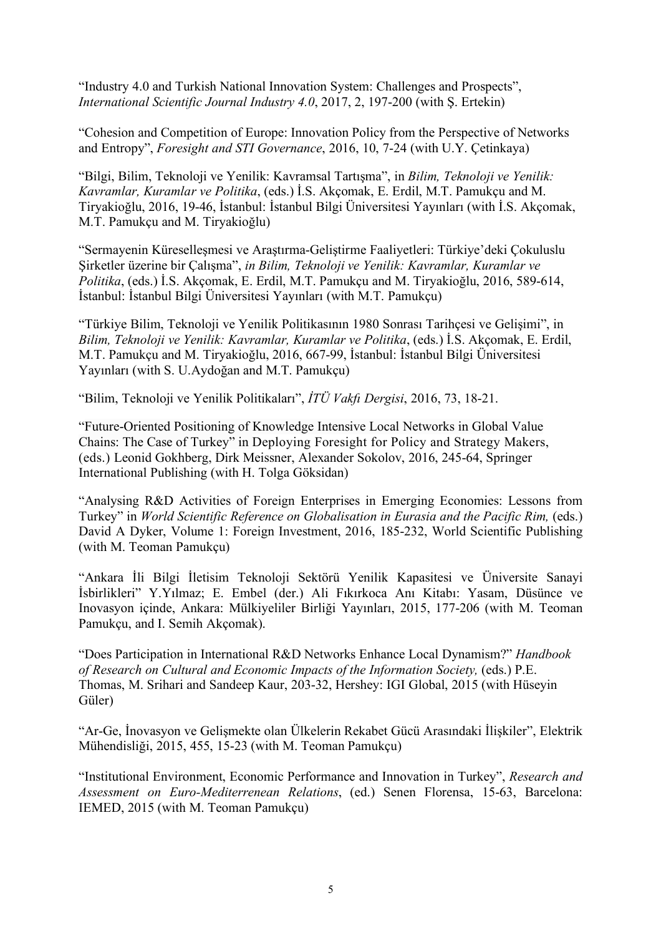"Industry 4.0 and Turkish National Innovation System: Challenges and Prospects", *International Scientific Journal Industry 4.0*, 2017, 2, 197-200 (with Ş. Ertekin)

"Cohesion and Competition of Europe: Innovation Policy from the Perspective of Networks and Entropy", *Foresight and STI Governance*, 2016, 10, 7-24 (with U.Y. Çetinkaya)

"Bilgi, Bilim, Teknoloji ve Yenilik: Kavramsal Tartışma", in *Bilim, Teknoloji ve Yenilik: Kavramlar, Kuramlar ve Politika*, (eds.) İ.S. Akçomak, E. Erdil, M.T. Pamukçu and M. Tiryakioğlu, 2016, 19-46, İstanbul: İstanbul Bilgi Üniversitesi Yayınları (with İ.S. Akçomak, M.T. Pamukçu and M. Tiryakioğlu)

"Sermayenin Küreselleşmesi ve Araştırma-Geliştirme Faaliyetleri: Türkiye'deki Çokuluslu Şirketler üzerine bir Çalışma", *in Bilim, Teknoloji ve Yenilik: Kavramlar, Kuramlar ve Politika*, (eds.) İ.S. Akçomak, E. Erdil, M.T. Pamukçu and M. Tiryakioğlu, 2016, 589-614, İstanbul: İstanbul Bilgi Üniversitesi Yayınları (with M.T. Pamukçu)

"Türkiye Bilim, Teknoloji ve Yenilik Politikasının 1980 Sonrası Tarihçesi ve Gelişimi", in *Bilim, Teknoloji ve Yenilik: Kavramlar, Kuramlar ve Politika*, (eds.) İ.S. Akçomak, E. Erdil, M.T. Pamukçu and M. Tiryakioğlu, 2016, 667-99, İstanbul: İstanbul Bilgi Üniversitesi Yayınları (with S. U.Aydoğan and M.T. Pamukçu)

"Bilim, Teknoloji ve Yenilik Politikaları", *İTÜ Vakfı Dergisi*, 2016, 73, 18-21.

"Future-Oriented Positioning of Knowledge Intensive Local Networks in Global Value Chains: The Case of Turkey" in Deploying Foresight for Policy and Strategy Makers, (eds.) Leonid Gokhberg, Dirk Meissner, Alexander Sokolov, 2016, 245-64, Springer International Publishing (with H. Tolga Göksidan)

"Analysing R&D Activities of Foreign Enterprises in Emerging Economies: Lessons from Turkey" in *World Scientific Reference on Globalisation in Eurasia and the Pacific Rim, (eds.)* David A Dyker, Volume 1: Foreign Investment, 2016, 185-232, World Scientific Publishing (with M. Teoman Pamukçu)

"Ankara İli Bilgi İletisim Teknoloji Sektörü Yenilik Kapasitesi ve Üniversite Sanayi İsbirlikleri" Y.Yılmaz; E. Embel (der.) Ali Fıkırkoca Anı Kitabı: Yasam, Düsünce ve Inovasyon içinde, Ankara: Mülkiyeliler Birliği Yayınları, 2015, 177-206 (with M. Teoman Pamukçu, and I. Semih Akçomak).

"Does Participation in International R&D Networks Enhance Local Dynamism?" *Handbook of Research on Cultural and Economic Impacts of the Information Society,* (eds.) P.E. Thomas, M. Srihari and Sandeep Kaur, 203-32, Hershey: IGI Global, 2015 (with Hüseyin Güler)

"Ar-Ge, İnovasyon ve Gelişmekte olan Ülkelerin Rekabet Gücü Arasındaki İlişkiler", Elektrik Mühendisliği, 2015, 455, 15-23 (with M. Teoman Pamukçu)

"Institutional Environment, Economic Performance and Innovation in Turkey", *Research and Assessment on Euro-Mediterrenean Relations*, (ed.) Senen Florensa, 15-63, Barcelona: IEMED, 2015 (with M. Teoman Pamukçu)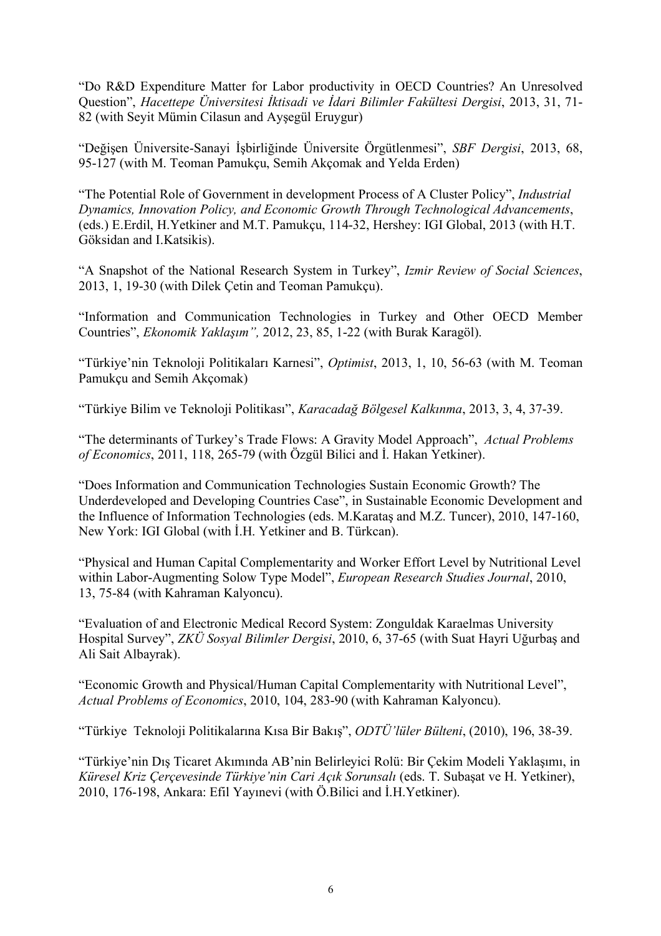"Do R&D Expenditure Matter for Labor productivity in OECD Countries? An Unresolved Question", *Hacettepe Üniversitesi İktisadi ve İdari Bilimler Fakültesi Dergisi*, 2013, 31, 71- 82 (with Seyit Mümin Cilasun and Ayşegül Eruygur)

"Değişen Üniversite-Sanayi İşbirliğinde Üniversite Örgütlenmesi", *SBF Dergisi*, 2013, 68, 95-127 (with M. Teoman Pamukçu, Semih Akçomak and Yelda Erden)

"The Potential Role of Government in development Process of A Cluster Policy", *Industrial Dynamics, Innovation Policy, and Economic Growth Through Technological Advancements*, (eds.) E.Erdil, H.Yetkiner and M.T. Pamukçu, 114-32, Hershey: IGI Global, 2013 (with H.T. Göksidan and I.Katsikis).

"A Snapshot of the National Research System in Turkey", *Izmir Review of Social Sciences*, 2013, 1, 19-30 (with Dilek Çetin and Teoman Pamukçu).

"Information and Communication Technologies in Turkey and Other OECD Member Countries", *Ekonomik Yaklaşım",* 2012, 23, 85, 1-22 (with Burak Karagöl).

"Türkiye'nin Teknoloji Politikaları Karnesi", *Optimist*, 2013, 1, 10, 56-63 (with M. Teoman Pamukçu and Semih Akçomak)

"Türkiye Bilim ve Teknoloji Politikası", *Karacadağ Bölgesel Kalkınma*, 2013, 3, 4, 37-39.

"The determinants of Turkey's Trade Flows: A Gravity Model Approach", *Actual Problems of Economics*, 2011, 118, 265-79 (with Özgül Bilici and İ. Hakan Yetkiner).

"Does Information and Communication Technologies Sustain Economic Growth? The Underdeveloped and Developing Countries Case", in Sustainable Economic Development and the Influence of Information Technologies (eds. M.Karataş and M.Z. Tuncer), 2010, 147-160, New York: IGI Global (with İ.H. Yetkiner and B. Türkcan).

"Physical and Human Capital Complementarity and Worker Effort Level by Nutritional Level within Labor-Augmenting Solow Type Model", *European Research Studies Journal*, 2010, 13, 75-84 (with Kahraman Kalyoncu).

"Evaluation of and Electronic Medical Record System: Zonguldak Karaelmas University Hospital Survey", *ZKÜ Sosyal Bilimler Dergisi*, 2010, 6, 37-65 (with Suat Hayri Uğurbaş and Ali Sait Albayrak).

"Economic Growth and Physical/Human Capital Complementarity with Nutritional Level", *Actual Problems of Economics*, 2010, 104, 283-90 (with Kahraman Kalyoncu).

"Türkiye Teknoloji Politikalarına Kısa Bir Bakış", *ODTÜ'lüler Bülteni*, (2010), 196, 38-39.

"Türkiye'nin Dış Ticaret Akımında AB'nin Belirleyici Rolü: Bir Çekim Modeli Yaklaşımı, in *Küresel Kriz Çerçevesinde Türkiye'nin Cari Açık Sorunsalı* (eds. T. Subaşat ve H. Yetkiner), 2010, 176-198, Ankara: Efil Yayınevi (with Ö.Bilici and İ.H.Yetkiner).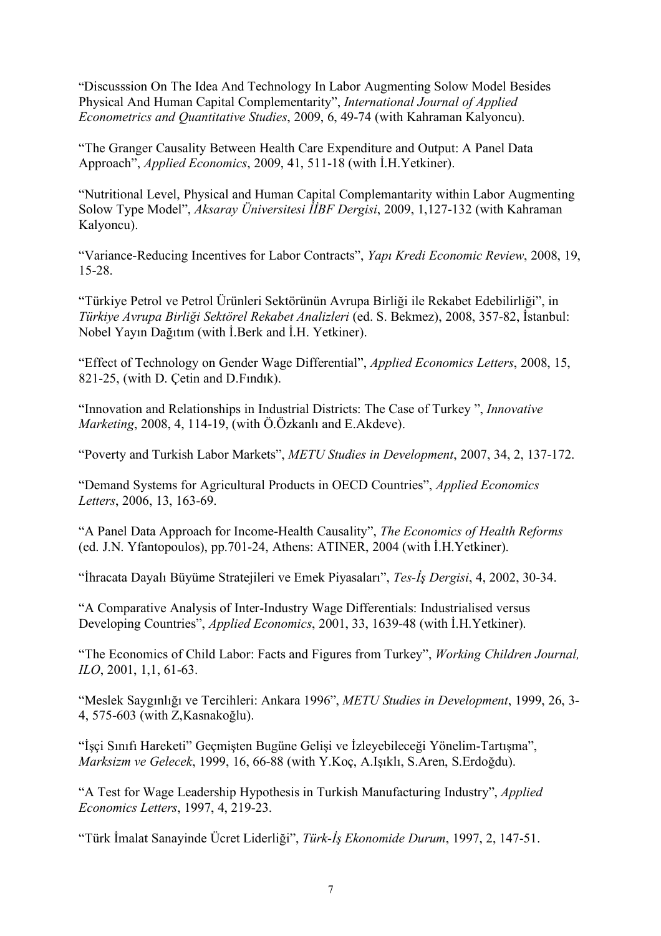"Discusssion On The Idea And Technology In Labor Augmenting Solow Model Besides Physical And Human Capital Complementarity", *International Journal of Applied Econometrics and Quantitative Studies*, 2009, 6, 49-74 (with Kahraman Kalyoncu).

"The Granger Causality Between Health Care Expenditure and Output: A Panel Data Approach", *Applied Economics*, 2009, 41, 511-18 (with İ.H.Yetkiner).

"Nutritional Level, Physical and Human Capital Complemantarity within Labor Augmenting Solow Type Model", *Aksaray Üniversitesi İİBF Dergisi*, 2009, 1,127-132 (with Kahraman Kalyoncu).

"Variance-Reducing Incentives for Labor Contracts", *Yapı Kredi Economic Review*, 2008, 19, 15-28.

"Türkiye Petrol ve Petrol Ürünleri Sektörünün Avrupa Birliği ile Rekabet Edebilirliği", in *Türkiye Avrupa Birliği Sektörel Rekabet Analizleri* (ed. S. Bekmez), 2008, 357-82, İstanbul: Nobel Yayın Dağıtım (with İ.Berk and İ.H. Yetkiner).

"Effect of Technology on Gender Wage Differential", *Applied Economics Letters*, 2008, 15, 821-25, (with D. Çetin and D.Fındık).

"Innovation and Relationships in Industrial Districts: The Case of Turkey ", *Innovative Marketing*, 2008, 4, 114-19, (with Ö.Özkanlı and E.Akdeve).

"Poverty and Turkish Labor Markets", *METU Studies in Development*, 2007, 34, 2, 137-172.

"Demand Systems for Agricultural Products in OECD Countries", *Applied Economics Letters*, 2006, 13, 163-69.

"A Panel Data Approach for Income-Health Causality", *The Economics of Health Reforms* (ed. J.N. Yfantopoulos), pp.701-24, Athens: ATINER, 2004 (with İ.H.Yetkiner).

"İhracata Dayalı Büyüme Stratejileri ve Emek Piyasaları", *Tes-İş Dergisi*, 4, 2002, 30-34.

"A Comparative Analysis of Inter-Industry Wage Differentials: Industrialised versus Developing Countries", *Applied Economics*, 2001, 33, 1639-48 (with İ.H.Yetkiner).

"The Economics of Child Labor: Facts and Figures from Turkey", *Working Children Journal, ILO*, 2001, 1,1, 61-63.

"Meslek Saygınlığı ve Tercihleri: Ankara 1996", *METU Studies in Development*, 1999, 26, 3- 4, 575-603 (with Z,Kasnakoğlu).

"İşçi Sınıfı Hareketi" Geçmişten Bugüne Gelişi ve İzleyebileceği Yönelim-Tartışma", *Marksizm ve Gelecek*, 1999, 16, 66-88 (with Y.Koç, A.Işıklı, S.Aren, S.Erdoğdu).

"A Test for Wage Leadership Hypothesis in Turkish Manufacturing Industry", *Applied Economics Letters*, 1997, 4, 219-23.

"Türk İmalat Sanayinde Ücret Liderliği", *Türk-İş Ekonomide Durum*, 1997, 2, 147-51.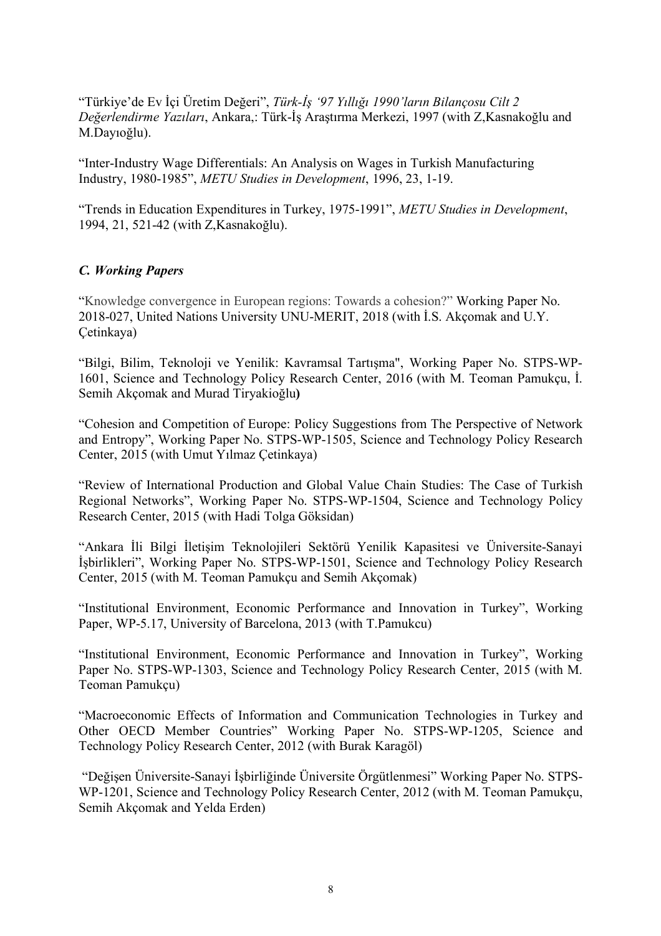"Türkiye'de Ev İçi Üretim Değeri", *Türk-İş '97 Yıllığı 1990'ların Bilançosu Cilt 2 Değerlendirme Yazıları*, Ankara,: Türk-İş Araştırma Merkezi, 1997 (with Z,Kasnakoğlu and M.Dayıoğlu).

"Inter-Industry Wage Differentials: An Analysis on Wages in Turkish Manufacturing Industry, 1980-1985", *METU Studies in Development*, 1996, 23, 1-19.

"Trends in Education Expenditures in Turkey, 1975-1991", *METU Studies in Development*, 1994, 21, 521-42 (with Z,Kasnakoğlu).

## *C. Working Papers*

"Knowledge convergence in European regions: Towards a cohesion?" Working Paper No. 2018-027, United Nations University UNU-MERIT, 2018 (with İ.S. Akçomak and U.Y. Çetinkaya)

"Bilgi, Bilim, Teknoloji ve Yenilik: Kavramsal Tartışma", Working Paper No. STPS-WP-1601, Science and Technology Policy Research Center, 2016 (with M. Teoman Pamukçu, İ. Semih Akçomak and Murad Tiryakioğlu**)**

"Cohesion and Competition of Europe: Policy Suggestions from The Perspective of Network and Entropy", Working Paper No. STPS-WP-1505, Science and Technology Policy Research Center, 2015 (with Umut Yılmaz Çetinkaya)

"Review of International Production and Global Value Chain Studies: The Case of Turkish Regional Networks", Working Paper No. STPS-WP-1504, Science and Technology Policy Research Center, 2015 (with Hadi Tolga Göksidan)

"Ankara İli Bilgi İletişim Teknolojileri Sektörü Yenilik Kapasitesi ve Üniversite-Sanayi İşbirlikleri", Working Paper No. STPS-WP-1501, Science and Technology Policy Research Center, 2015 (with M. Teoman Pamukçu and Semih Akçomak)

"Institutional Environment, Economic Performance and Innovation in Turkey", Working Paper, WP-5.17, University of Barcelona, 2013 (with T.Pamukcu)

"Institutional Environment, Economic Performance and Innovation in Turkey", Working Paper No. STPS-WP-1303, Science and Technology Policy Research Center, 2015 (with M. Teoman Pamukçu)

"Macroeconomic Effects of Information and Communication Technologies in Turkey and Other OECD Member Countries" Working Paper No. STPS-WP-1205, Science and Technology Policy Research Center, 2012 (with Burak Karagöl)

"Değişen Üniversite-Sanayi İşbirliğinde Üniversite Örgütlenmesi" Working Paper No. STPS-WP-1201, Science and Technology Policy Research Center, 2012 (with M. Teoman Pamukçu, Semih Akçomak and Yelda Erden)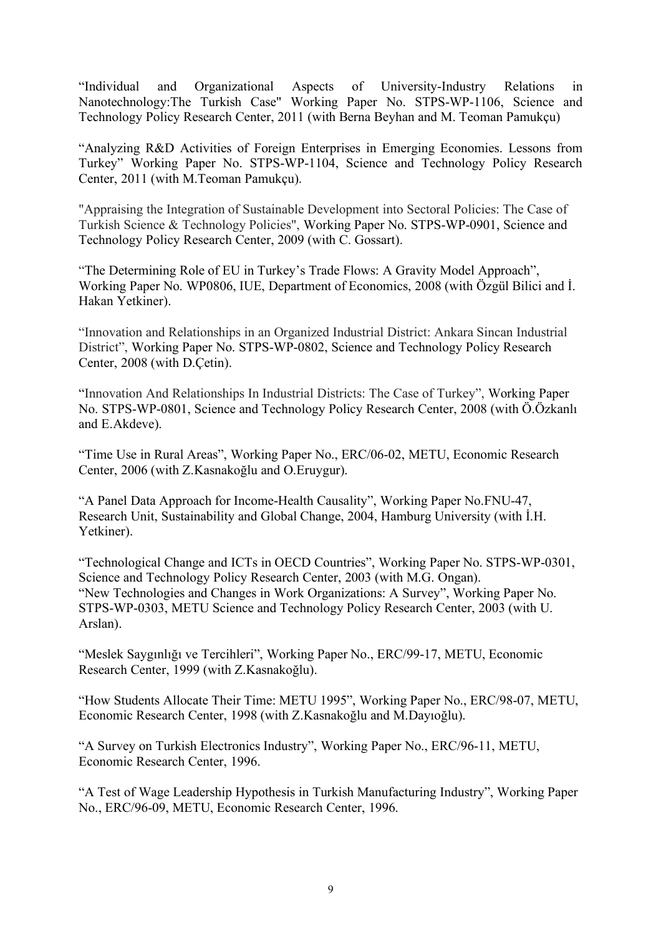"Individual and Organizational Aspects of University-Industry Relations in Nanotechnology:The Turkish Case" Working Paper No. STPS-WP-1106, Science and Technology Policy Research Center, 2011 (with Berna Beyhan and M. Teoman Pamukçu)

"Analyzing R&D Activities of Foreign Enterprises in Emerging Economies. Lessons from Turkey" Working Paper No. STPS-WP-1104, Science and Technology Policy Research Center, 2011 (with M.Teoman Pamukçu).

"Appraising the Integration of Sustainable Development into Sectoral Policies: The Case of Turkish Science & Technology Policies", Working Paper No. STPS-WP-0901, Science and Technology Policy Research Center, 2009 (with C. Gossart).

"The Determining Role of EU in Turkey's Trade Flows: A Gravity Model Approach", Working Paper No. WP0806, IUE, Department of Economics, 2008 (with Özgül Bilici and İ. Hakan Yetkiner).

"Innovation and Relationships in an Organized Industrial District: Ankara Sincan Industrial District", Working Paper No. STPS-WP-0802, Science and Technology Policy Research Center, 2008 (with D.Çetin).

"Innovation And Relationships In Industrial Districts: The Case of Turkey", Working Paper No. STPS-WP-0801, Science and Technology Policy Research Center, 2008 (with Ö.Özkanlı and E.Akdeve).

"Time Use in Rural Areas", Working Paper No., ERC/06-02, METU, Economic Research Center, 2006 (with Z.Kasnakoğlu and O.Eruygur).

"A Panel Data Approach for Income-Health Causality", Working Paper No.FNU-47, Research Unit, Sustainability and Global Change, 2004, Hamburg University (with İ.H. Yetkiner).

"Technological Change and ICTs in OECD Countries", Working Paper No. STPS-WP-0301, Science and Technology Policy Research Center, 2003 (with M.G. Ongan). "New Technologies and Changes in Work Organizations: A Survey", Working Paper No. STPS-WP-0303, METU Science and Technology Policy Research Center, 2003 (with U. Arslan).

"Meslek Saygınlığı ve Tercihleri", Working Paper No., ERC/99-17, METU, Economic Research Center, 1999 (with Z.Kasnakoğlu).

"How Students Allocate Their Time: METU 1995", Working Paper No., ERC/98-07, METU, Economic Research Center, 1998 (with Z.Kasnakoğlu and M.Dayıoğlu).

"A Survey on Turkish Electronics Industry", Working Paper No., ERC/96-11, METU, Economic Research Center, 1996.

"A Test of Wage Leadership Hypothesis in Turkish Manufacturing Industry", Working Paper No., ERC/96-09, METU, Economic Research Center, 1996.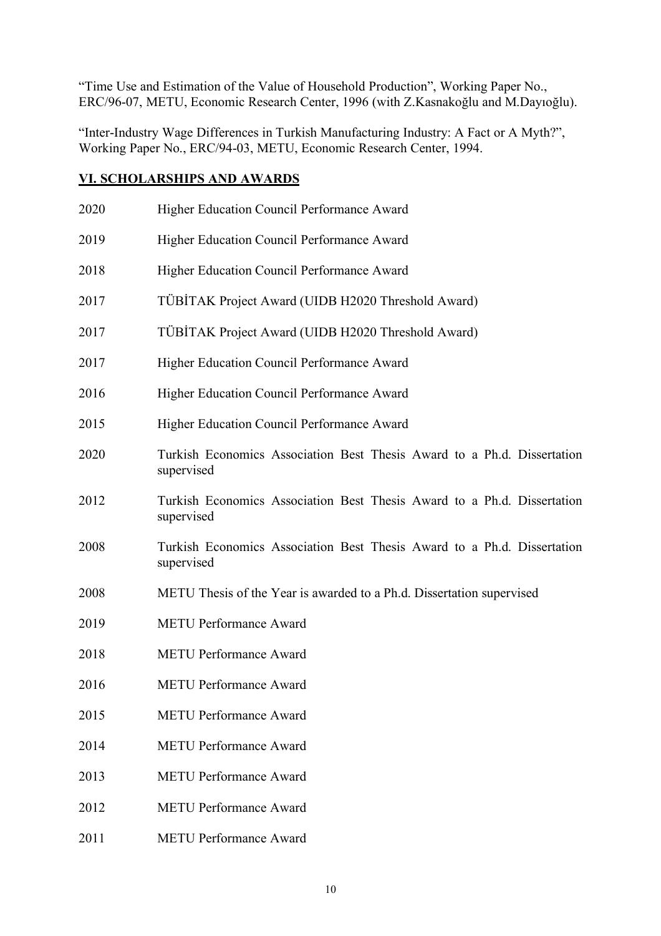"Time Use and Estimation of the Value of Household Production", Working Paper No., ERC/96-07, METU, Economic Research Center, 1996 (with Z.Kasnakoğlu and M.Dayıoğlu).

"Inter-Industry Wage Differences in Turkish Manufacturing Industry: A Fact or A Myth?", Working Paper No., ERC/94-03, METU, Economic Research Center, 1994.

# **VI. SCHOLARSHIPS AND AWARDS**

| 2020 | Higher Education Council Performance Award                                            |
|------|---------------------------------------------------------------------------------------|
| 2019 | Higher Education Council Performance Award                                            |
| 2018 | Higher Education Council Performance Award                                            |
| 2017 | TÜBİTAK Project Award (UIDB H2020 Threshold Award)                                    |
| 2017 | TÜBİTAK Project Award (UIDB H2020 Threshold Award)                                    |
| 2017 | Higher Education Council Performance Award                                            |
| 2016 | Higher Education Council Performance Award                                            |
| 2015 | Higher Education Council Performance Award                                            |
| 2020 | Turkish Economics Association Best Thesis Award to a Ph.d. Dissertation<br>supervised |
| 2012 | Turkish Economics Association Best Thesis Award to a Ph.d. Dissertation<br>supervised |
| 2008 | Turkish Economics Association Best Thesis Award to a Ph.d. Dissertation<br>supervised |
| 2008 | METU Thesis of the Year is awarded to a Ph.d. Dissertation supervised                 |
| 2019 | <b>METU Performance Award</b>                                                         |
| 2018 | <b>METU Performance Award</b>                                                         |
| 2016 | <b>METU Performance Award</b>                                                         |
| 2015 | <b>METU Performance Award</b>                                                         |
| 2014 | <b>METU Performance Award</b>                                                         |
| 2013 | <b>METU Performance Award</b>                                                         |
| 2012 | <b>METU Performance Award</b>                                                         |
| 2011 | <b>METU Performance Award</b>                                                         |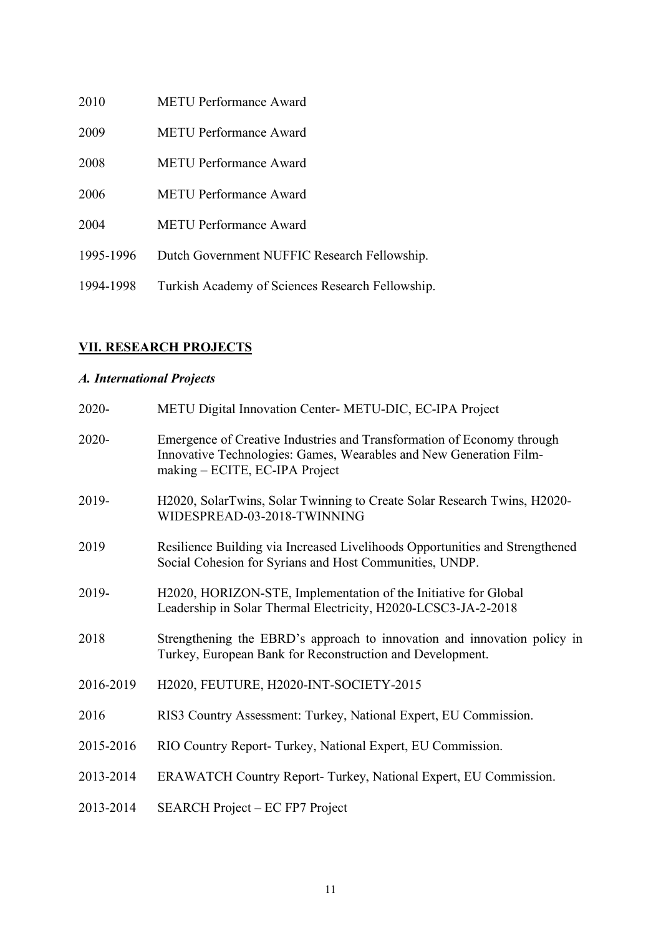| 2010<br><b>METU</b> Performance Award |  |
|---------------------------------------|--|
|---------------------------------------|--|

- 2009 METU Performance Award
- 2008 METU Performance Award
- 2006 METU Performance Award
- 2004 METU Performance Award
- 1995-1996 Dutch Government NUFFIC Research Fellowship.
- 1994-1998 Turkish Academy of Sciences Research Fellowship.

## **VII. RESEARCH PROJECTS**

## *A. International Projects*

| METU Digital Innovation Center-METU-DIC, EC-IPA Project                                                                                                                        |
|--------------------------------------------------------------------------------------------------------------------------------------------------------------------------------|
| Emergence of Creative Industries and Transformation of Economy through<br>Innovative Technologies: Games, Wearables and New Generation Film-<br>making – ECITE, EC-IPA Project |
| H2020, SolarTwins, Solar Twinning to Create Solar Research Twins, H2020-<br>WIDESPREAD-03-2018-TWINNING                                                                        |
| Resilience Building via Increased Livelihoods Opportunities and Strengthened<br>Social Cohesion for Syrians and Host Communities, UNDP.                                        |
| H2020, HORIZON-STE, Implementation of the Initiative for Global<br>Leadership in Solar Thermal Electricity, H2020-LCSC3-JA-2-2018                                              |
| Strengthening the EBRD's approach to innovation and innovation policy in<br>Turkey, European Bank for Reconstruction and Development.                                          |
| H2020, FEUTURE, H2020-INT-SOCIETY-2015                                                                                                                                         |
| RIS3 Country Assessment: Turkey, National Expert, EU Commission.                                                                                                               |
| RIO Country Report-Turkey, National Expert, EU Commission.                                                                                                                     |
| ERAWATCH Country Report-Turkey, National Expert, EU Commission.                                                                                                                |
| SEARCH Project – EC FP7 Project                                                                                                                                                |
|                                                                                                                                                                                |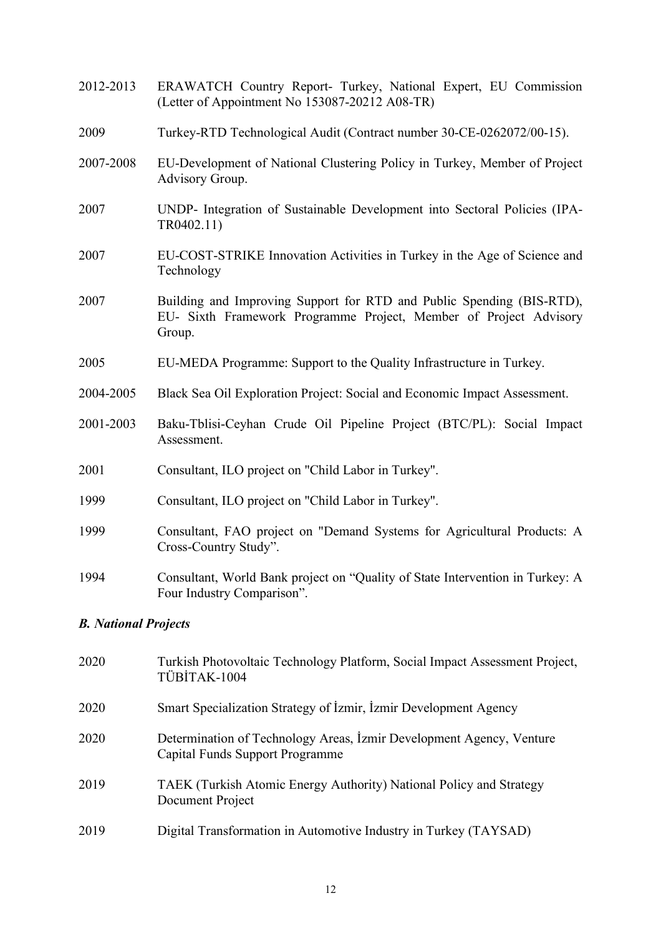| 2012-2013                   | ERAWATCH Country Report- Turkey, National Expert, EU Commission<br>(Letter of Appointment No 153087-20212 A08-TR)                                    |  |
|-----------------------------|------------------------------------------------------------------------------------------------------------------------------------------------------|--|
| 2009                        | Turkey-RTD Technological Audit (Contract number 30-CE-0262072/00-15).                                                                                |  |
| 2007-2008                   | EU-Development of National Clustering Policy in Turkey, Member of Project<br>Advisory Group.                                                         |  |
| 2007                        | UNDP- Integration of Sustainable Development into Sectoral Policies (IPA-<br>TR0402.11)                                                              |  |
| 2007                        | EU-COST-STRIKE Innovation Activities in Turkey in the Age of Science and<br>Technology                                                               |  |
| 2007                        | Building and Improving Support for RTD and Public Spending (BIS-RTD),<br>EU- Sixth Framework Programme Project, Member of Project Advisory<br>Group. |  |
| 2005                        | EU-MEDA Programme: Support to the Quality Infrastructure in Turkey.                                                                                  |  |
| 2004-2005                   | Black Sea Oil Exploration Project: Social and Economic Impact Assessment.                                                                            |  |
| 2001-2003                   | Baku-Tblisi-Ceyhan Crude Oil Pipeline Project (BTC/PL): Social Impact<br>Assessment.                                                                 |  |
| 2001                        | Consultant, ILO project on "Child Labor in Turkey".                                                                                                  |  |
| 1999                        | Consultant, ILO project on "Child Labor in Turkey".                                                                                                  |  |
| 1999                        | Consultant, FAO project on "Demand Systems for Agricultural Products: A<br>Cross-Country Study".                                                     |  |
| 1994                        | Consultant, World Bank project on "Quality of State Intervention in Turkey: A<br>Four Industry Comparison".                                          |  |
| <b>B.</b> National Projects |                                                                                                                                                      |  |
| 2020                        | Turkish Photovoltaic Technology Platform, Social Impact Assessment Project,<br>TÜBİTAK-1004                                                          |  |
| 2020                        | Smart Specialization Strategy of İzmir, İzmir Development Agency                                                                                     |  |

- 2020 Determination of Technology Areas, İzmir Development Agency, Venture Capital Funds Support Programme
- 2019 TAEK (Turkish Atomic Energy Authority) National Policy and Strategy Document Project
- 2019 Digital Transformation in Automotive Industry in Turkey (TAYSAD)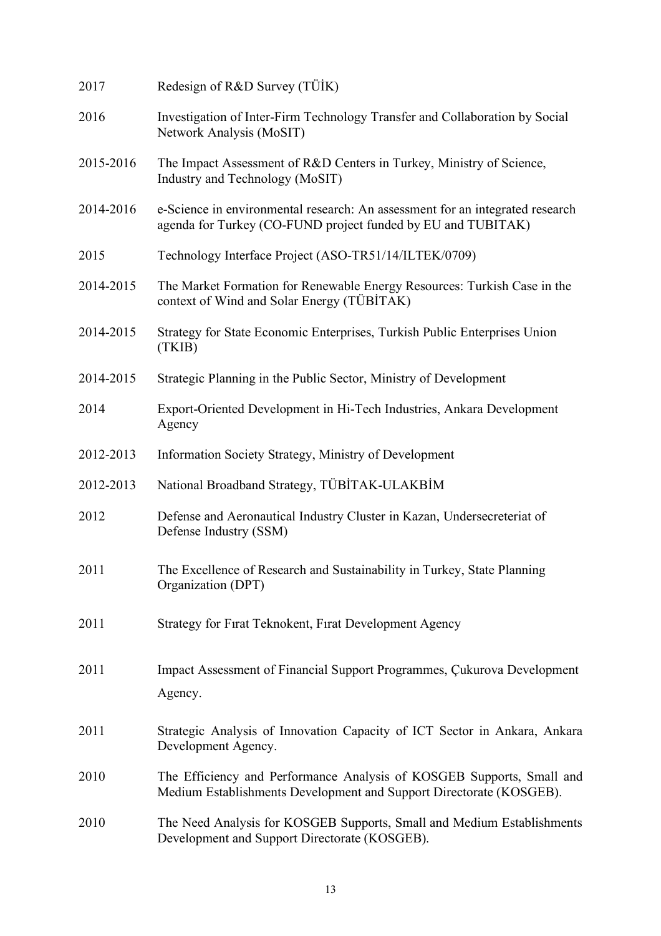| 2017      | Redesign of R&D Survey (TÜİK)                                                                                                                 |
|-----------|-----------------------------------------------------------------------------------------------------------------------------------------------|
| 2016      | Investigation of Inter-Firm Technology Transfer and Collaboration by Social<br>Network Analysis (MoSIT)                                       |
| 2015-2016 | The Impact Assessment of R&D Centers in Turkey, Ministry of Science,<br>Industry and Technology (MoSIT)                                       |
| 2014-2016 | e-Science in environmental research: An assessment for an integrated research<br>agenda for Turkey (CO-FUND project funded by EU and TUBITAK) |
| 2015      | Technology Interface Project (ASO-TR51/14/ILTEK/0709)                                                                                         |
| 2014-2015 | The Market Formation for Renewable Energy Resources: Turkish Case in the<br>context of Wind and Solar Energy (TÜBİTAK)                        |
| 2014-2015 | Strategy for State Economic Enterprises, Turkish Public Enterprises Union<br>(TKIB)                                                           |
| 2014-2015 | Strategic Planning in the Public Sector, Ministry of Development                                                                              |
| 2014      | Export-Oriented Development in Hi-Tech Industries, Ankara Development<br>Agency                                                               |
| 2012-2013 | Information Society Strategy, Ministry of Development                                                                                         |
| 2012-2013 | National Broadband Strategy, TÜBİTAK-ULAKBİM                                                                                                  |
| 2012      | Defense and Aeronautical Industry Cluster in Kazan, Undersecreteriat of<br>Defense Industry (SSM)                                             |
| 2011      | The Excellence of Research and Sustainability in Turkey, State Planning<br>Organization (DPT)                                                 |
| 2011      | Strategy for Firat Teknokent, Firat Development Agency                                                                                        |
| 2011      | Impact Assessment of Financial Support Programmes, Çukurova Development<br>Agency.                                                            |
| 2011      | Strategic Analysis of Innovation Capacity of ICT Sector in Ankara, Ankara<br>Development Agency.                                              |
| 2010      | The Efficiency and Performance Analysis of KOSGEB Supports, Small and<br>Medium Establishments Development and Support Directorate (KOSGEB).  |
| 2010      | The Need Analysis for KOSGEB Supports, Small and Medium Establishments<br>Development and Support Directorate (KOSGEB).                       |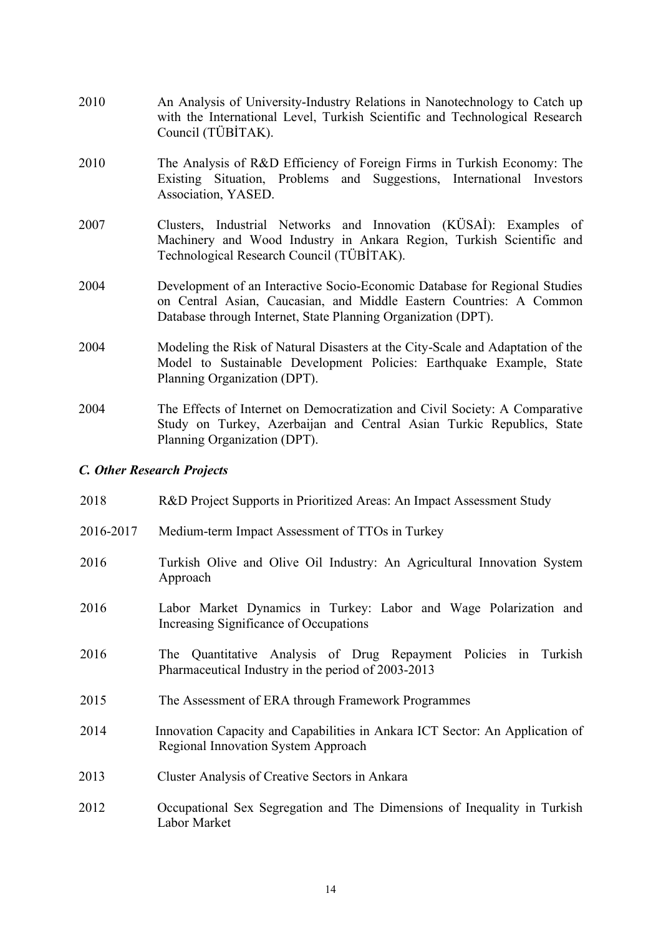2010 An Analysis of University-Industry Relations in Nanotechnology to Catch up with the International Level, Turkish Scientific and Technological Research Council (TÜBİTAK). 2010 The Analysis of R&D Efficiency of Foreign Firms in Turkish Economy: The Existing Situation, Problems and Suggestions, International Investors Association, YASED. 2007 Clusters, Industrial Networks and Innovation (KÜSAİ): Examples of Machinery and Wood Industry in Ankara Region, Turkish Scientific and Technological Research Council (TÜBİTAK). 2004 Development of an Interactive Socio-Economic Database for Regional Studies on Central Asian, Caucasian, and Middle Eastern Countries: A Common Database through Internet, State Planning Organization (DPT). 2004 Modeling the Risk of Natural Disasters at the City-Scale and Adaptation of the Model to Sustainable Development Policies: Earthquake Example, State Planning Organization (DPT). 2004 The Effects of Internet on Democratization and Civil Society: A Comparative Study on Turkey, Azerbaijan and Central Asian Turkic Republics, State Planning Organization (DPT).

#### *C. Other Research Projects*

- 2018 R&D Project Supports in Prioritized Areas: An Impact Assessment Study
- 2016-2017 Medium-term Impact Assessment of TTOs in Turkey
- 2016 Turkish Olive and Olive Oil Industry: An Agricultural Innovation System Approach
- 2016 Labor Market Dynamics in Turkey: Labor and Wage Polarization and Increasing Significance of Occupations
- 2016 The Quantitative Analysis of Drug Repayment Policies in Turkish Pharmaceutical Industry in the period of 2003-2013
- 2015 The Assessment of ERA through Framework Programmes
- 2014 Innovation Capacity and Capabilities in Ankara ICT Sector: An Application of Regional Innovation System Approach
- 2013 Cluster Analysis of Creative Sectors in Ankara
- 2012 Occupational Sex Segregation and The Dimensions of Inequality in Turkish Labor Market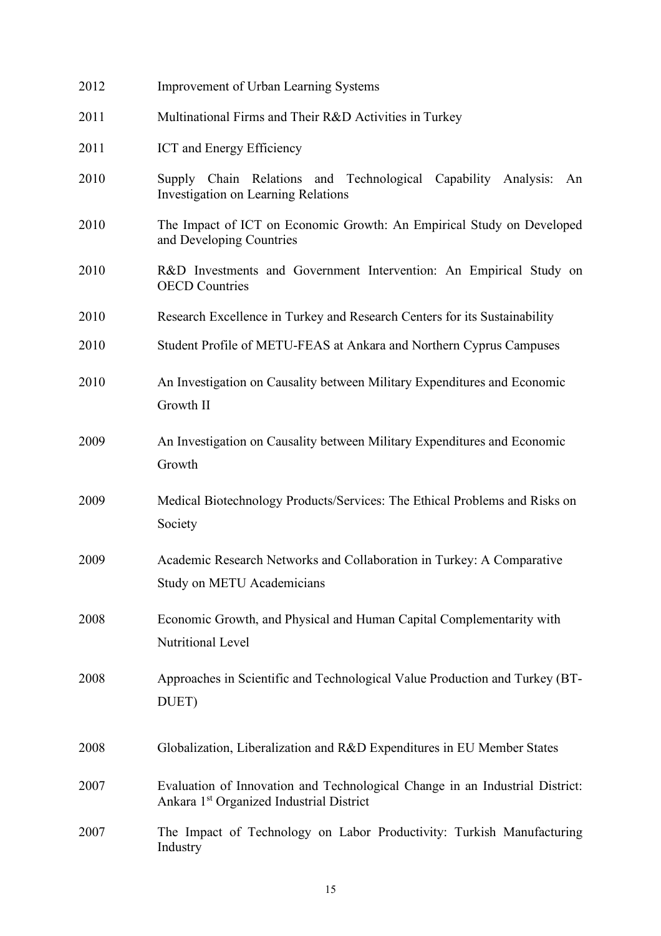| 2012 | <b>Improvement of Urban Learning Systems</b>                                                                             |
|------|--------------------------------------------------------------------------------------------------------------------------|
| 2011 | Multinational Firms and Their R&D Activities in Turkey                                                                   |
| 2011 | ICT and Energy Efficiency                                                                                                |
| 2010 | Supply Chain Relations and Technological Capability Analysis:<br>An<br>Investigation on Learning Relations               |
| 2010 | The Impact of ICT on Economic Growth: An Empirical Study on Developed<br>and Developing Countries                        |
| 2010 | R&D Investments and Government Intervention: An Empirical Study on<br><b>OECD</b> Countries                              |
| 2010 | Research Excellence in Turkey and Research Centers for its Sustainability                                                |
| 2010 | Student Profile of METU-FEAS at Ankara and Northern Cyprus Campuses                                                      |
| 2010 | An Investigation on Causality between Military Expenditures and Economic<br>Growth II                                    |
| 2009 | An Investigation on Causality between Military Expenditures and Economic<br>Growth                                       |
| 2009 | Medical Biotechnology Products/Services: The Ethical Problems and Risks on<br>Society                                    |
| 2009 | Academic Research Networks and Collaboration in Turkey: A Comparative<br><b>Study on METU Academicians</b>               |
| 2008 | Economic Growth, and Physical and Human Capital Complementarity with<br>Nutritional Level                                |
| 2008 | Approaches in Scientific and Technological Value Production and Turkey (BT-<br>DUET)                                     |
| 2008 | Globalization, Liberalization and R&D Expenditures in EU Member States                                                   |
| 2007 | Evaluation of Innovation and Technological Change in an Industrial District:<br>Ankara 1st Organized Industrial District |
| 2007 | The Impact of Technology on Labor Productivity: Turkish Manufacturing<br>Industry                                        |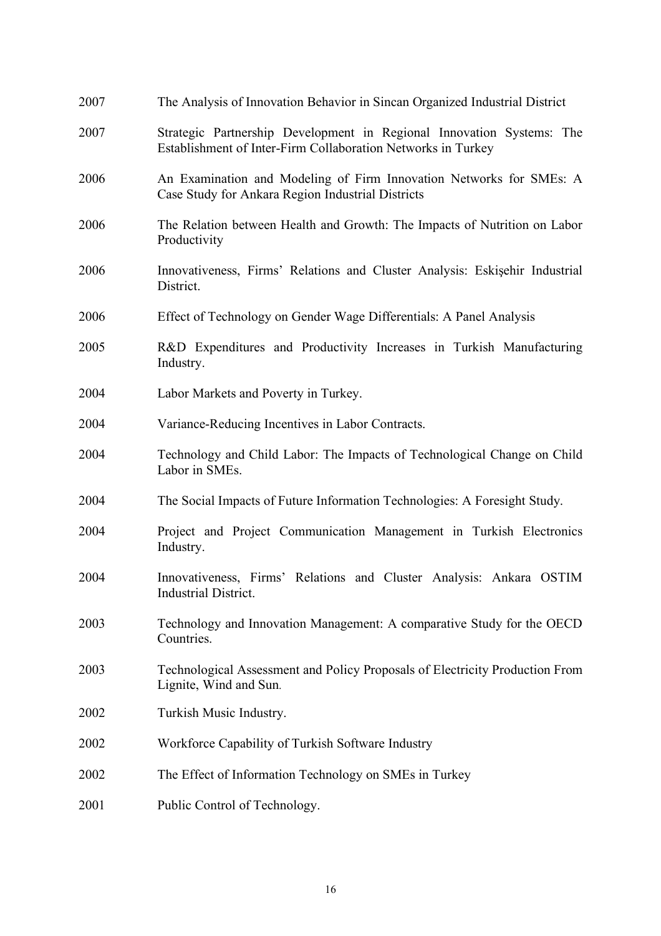| 2007 | The Analysis of Innovation Behavior in Sincan Organized Industrial District                                                           |
|------|---------------------------------------------------------------------------------------------------------------------------------------|
| 2007 | Strategic Partnership Development in Regional Innovation Systems: The<br>Establishment of Inter-Firm Collaboration Networks in Turkey |
| 2006 | An Examination and Modeling of Firm Innovation Networks for SMEs: A<br>Case Study for Ankara Region Industrial Districts              |
| 2006 | The Relation between Health and Growth: The Impacts of Nutrition on Labor<br>Productivity                                             |
| 2006 | Innovativeness, Firms' Relations and Cluster Analysis: Eskişehir Industrial<br>District.                                              |
| 2006 | Effect of Technology on Gender Wage Differentials: A Panel Analysis                                                                   |
| 2005 | R&D Expenditures and Productivity Increases in Turkish Manufacturing<br>Industry.                                                     |
| 2004 | Labor Markets and Poverty in Turkey.                                                                                                  |
| 2004 | Variance-Reducing Incentives in Labor Contracts.                                                                                      |
| 2004 | Technology and Child Labor: The Impacts of Technological Change on Child<br>Labor in SMEs.                                            |
| 2004 | The Social Impacts of Future Information Technologies: A Foresight Study.                                                             |
| 2004 | Project and Project Communication Management in Turkish Electronics<br>Industry.                                                      |
| 2004 | Innovativeness, Firms' Relations and Cluster Analysis: Ankara OSTIM<br>Industrial District.                                           |
| 2003 | Technology and Innovation Management: A comparative Study for the OECD<br>Countries.                                                  |
| 2003 | Technological Assessment and Policy Proposals of Electricity Production From<br>Lignite, Wind and Sun.                                |
| 2002 | Turkish Music Industry.                                                                                                               |
| 2002 | Workforce Capability of Turkish Software Industry                                                                                     |
| 2002 | The Effect of Information Technology on SMEs in Turkey                                                                                |
| 2001 | Public Control of Technology.                                                                                                         |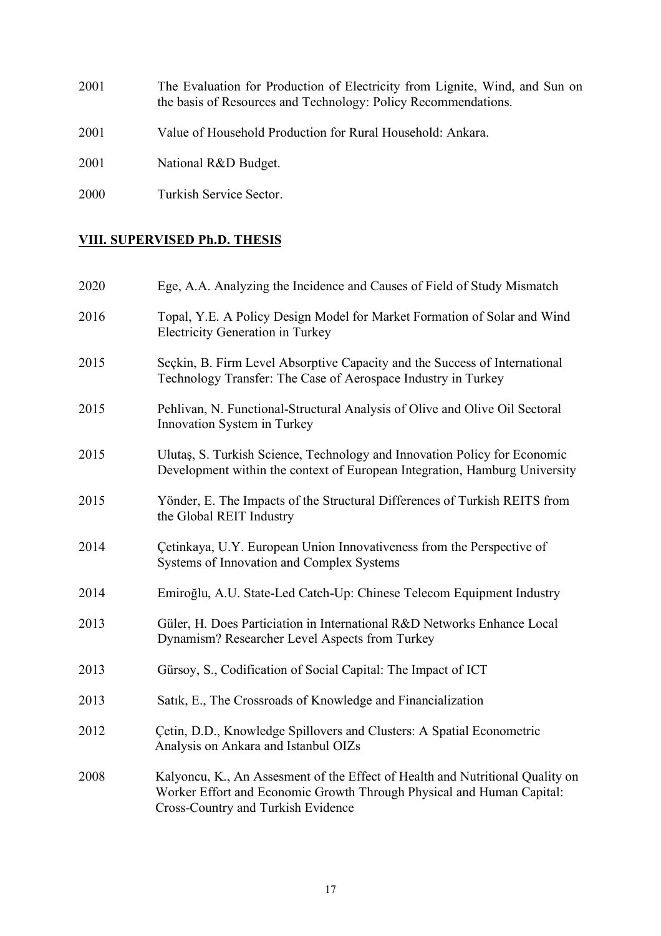| 2001 | The Evaluation for Production of Electricity from Lignite, Wind, and Sun on<br>the basis of Resources and Technology: Policy Recommendations. |
|------|-----------------------------------------------------------------------------------------------------------------------------------------------|
| 2001 | Value of Household Production for Rural Household: Ankara.                                                                                    |
| 2001 | National R&D Budget.                                                                                                                          |
| 2000 | Turkish Service Sector.                                                                                                                       |

# **VIII. SUPERVISED Ph.D. THESIS**

| 2020 | Ege, A.A. Analyzing the Incidence and Causes of Field of Study Mismatch                                                                                                                      |
|------|----------------------------------------------------------------------------------------------------------------------------------------------------------------------------------------------|
| 2016 | Topal, Y.E. A Policy Design Model for Market Formation of Solar and Wind<br><b>Electricity Generation in Turkey</b>                                                                          |
| 2015 | Seckin, B. Firm Level Absorptive Capacity and the Success of International<br>Technology Transfer: The Case of Aerospace Industry in Turkey                                                  |
| 2015 | Pehlivan, N. Functional-Structural Analysis of Olive and Olive Oil Sectoral<br>Innovation System in Turkey                                                                                   |
| 2015 | Ulutaş, S. Turkish Science, Technology and Innovation Policy for Economic<br>Development within the context of European Integration, Hamburg University                                      |
| 2015 | Yönder, E. The Impacts of the Structural Differences of Turkish REITS from<br>the Global REIT Industry                                                                                       |
| 2014 | Cetinkaya, U.Y. European Union Innovativeness from the Perspective of<br>Systems of Innovation and Complex Systems                                                                           |
| 2014 | Emiroğlu, A.U. State-Led Catch-Up: Chinese Telecom Equipment Industry                                                                                                                        |
| 2013 | Güler, H. Does Particiation in International R&D Networks Enhance Local<br>Dynamism? Researcher Level Aspects from Turkey                                                                    |
| 2013 | Gürsoy, S., Codification of Social Capital: The Impact of ICT                                                                                                                                |
| 2013 | Satik, E., The Crossroads of Knowledge and Financialization                                                                                                                                  |
| 2012 | Cetin, D.D., Knowledge Spillovers and Clusters: A Spatial Econometric<br>Analysis on Ankara and Istanbul OIZs                                                                                |
| 2008 | Kalyoncu, K., An Assesment of the Effect of Health and Nutritional Quality on<br>Worker Effort and Economic Growth Through Physical and Human Capital:<br>Cross-Country and Turkish Evidence |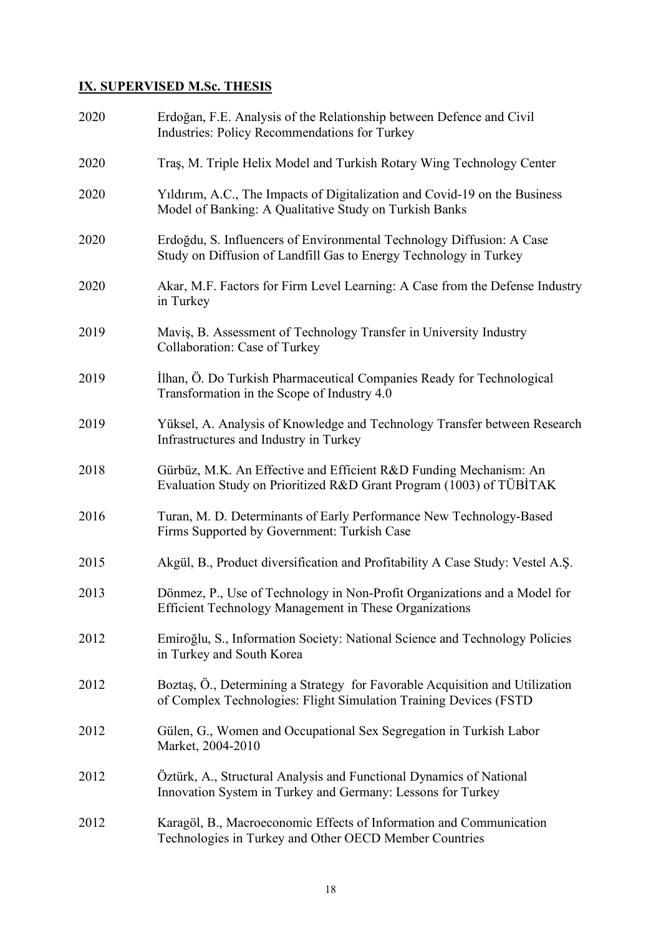# **IX. SUPERVISED M.Sc. THESIS**

| 2020 | Erdoğan, F.E. Analysis of the Relationship between Defence and Civil<br>Industries: Policy Recommendations for Turkey                             |
|------|---------------------------------------------------------------------------------------------------------------------------------------------------|
| 2020 | Tras, M. Triple Helix Model and Turkish Rotary Wing Technology Center                                                                             |
| 2020 | Yildirim, A.C., The Impacts of Digitalization and Covid-19 on the Business<br>Model of Banking: A Qualitative Study on Turkish Banks              |
| 2020 | Erdoğdu, S. Influencers of Environmental Technology Diffusion: A Case<br>Study on Diffusion of Landfill Gas to Energy Technology in Turkey        |
| 2020 | Akar, M.F. Factors for Firm Level Learning: A Case from the Defense Industry<br>in Turkey                                                         |
| 2019 | Mavis, B. Assessment of Technology Transfer in University Industry<br>Collaboration: Case of Turkey                                               |
| 2019 | Ilhan, O. Do Turkish Pharmaceutical Companies Ready for Technological<br>Transformation in the Scope of Industry 4.0                              |
| 2019 | Yüksel, A. Analysis of Knowledge and Technology Transfer between Research<br>Infrastructures and Industry in Turkey                               |
| 2018 | Gürbüz, M.K. An Effective and Efficient R&D Funding Mechanism: An<br>Evaluation Study on Prioritized R&D Grant Program (1003) of TÜBİTAK          |
| 2016 | Turan, M. D. Determinants of Early Performance New Technology-Based<br>Firms Supported by Government: Turkish Case                                |
| 2015 | Akgül, B., Product diversification and Profitability A Case Study: Vestel A.Ş.                                                                    |
| 2013 | Dönmez, P., Use of Technology in Non-Profit Organizations and a Model for<br>Efficient Technology Management in These Organizations               |
| 2012 | Emiroğlu, S., Information Society: National Science and Technology Policies<br>in Turkey and South Korea                                          |
| 2012 | Boztas, Ö., Determining a Strategy for Favorable Acquisition and Utilization<br>of Complex Technologies: Flight Simulation Training Devices (FSTD |
| 2012 | Gülen, G., Women and Occupational Sex Segregation in Turkish Labor<br>Market, 2004-2010                                                           |
| 2012 | Oztürk, A., Structural Analysis and Functional Dynamics of National<br>Innovation System in Turkey and Germany: Lessons for Turkey                |
| 2012 | Karagöl, B., Macroeconomic Effects of Information and Communication<br>Technologies in Turkey and Other OECD Member Countries                     |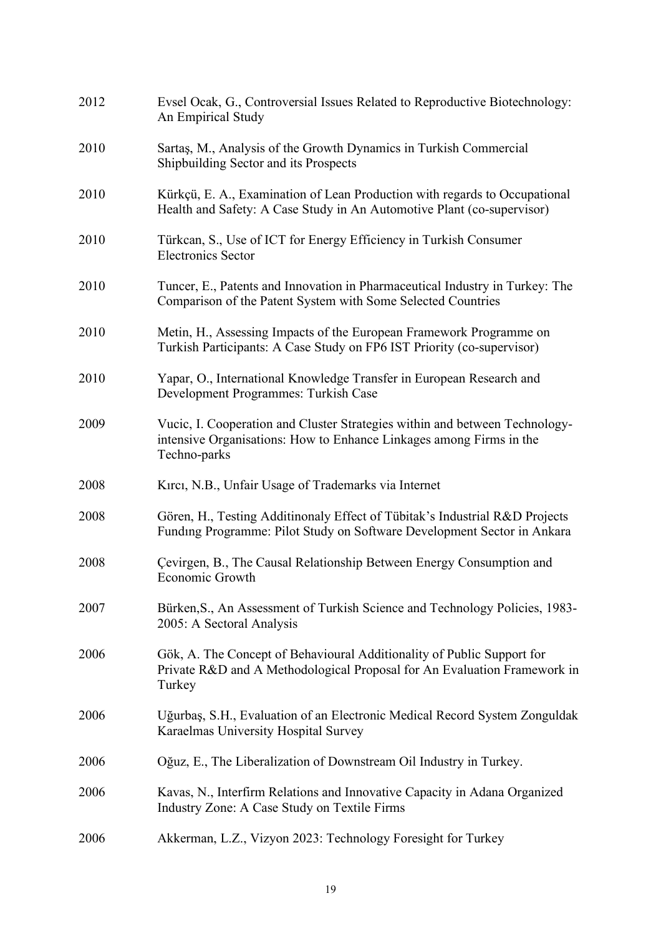| 2012 | Evsel Ocak, G., Controversial Issues Related to Reproductive Biotechnology:<br>An Empirical Study                                                                  |
|------|--------------------------------------------------------------------------------------------------------------------------------------------------------------------|
| 2010 | Sartas, M., Analysis of the Growth Dynamics in Turkish Commercial<br>Shipbuilding Sector and its Prospects                                                         |
| 2010 | Kürkçü, E. A., Examination of Lean Production with regards to Occupational<br>Health and Safety: A Case Study in An Automotive Plant (co-supervisor)               |
| 2010 | Türkcan, S., Use of ICT for Energy Efficiency in Turkish Consumer<br><b>Electronics Sector</b>                                                                     |
| 2010 | Tuncer, E., Patents and Innovation in Pharmaceutical Industry in Turkey: The<br>Comparison of the Patent System with Some Selected Countries                       |
| 2010 | Metin, H., Assessing Impacts of the European Framework Programme on<br>Turkish Participants: A Case Study on FP6 IST Priority (co-supervisor)                      |
| 2010 | Yapar, O., International Knowledge Transfer in European Research and<br>Development Programmes: Turkish Case                                                       |
| 2009 | Vucic, I. Cooperation and Cluster Strategies within and between Technology-<br>intensive Organisations: How to Enhance Linkages among Firms in the<br>Techno-parks |
| 2008 | Kırcı, N.B., Unfair Usage of Trademarks via Internet                                                                                                               |
| 2008 | Gören, H., Testing Additinonaly Effect of Tübitak's Industrial R&D Projects<br>Funding Programme: Pilot Study on Software Development Sector in Ankara             |
| 2008 | Cevirgen, B., The Causal Relationship Between Energy Consumption and<br>Economic Growth                                                                            |
| 2007 | Bürken, S., An Assessment of Turkish Science and Technology Policies, 1983-<br>2005: A Sectoral Analysis                                                           |
| 2006 | Gök, A. The Concept of Behavioural Additionality of Public Support for<br>Private R&D and A Methodological Proposal for An Evaluation Framework in<br>Turkey       |
| 2006 | Uğurbaş, S.H., Evaluation of an Electronic Medical Record System Zonguldak<br>Karaelmas University Hospital Survey                                                 |
| 2006 | Oğuz, E., The Liberalization of Downstream Oil Industry in Turkey.                                                                                                 |
| 2006 | Kavas, N., Interfirm Relations and Innovative Capacity in Adana Organized<br>Industry Zone: A Case Study on Textile Firms                                          |
| 2006 | Akkerman, L.Z., Vizyon 2023: Technology Foresight for Turkey                                                                                                       |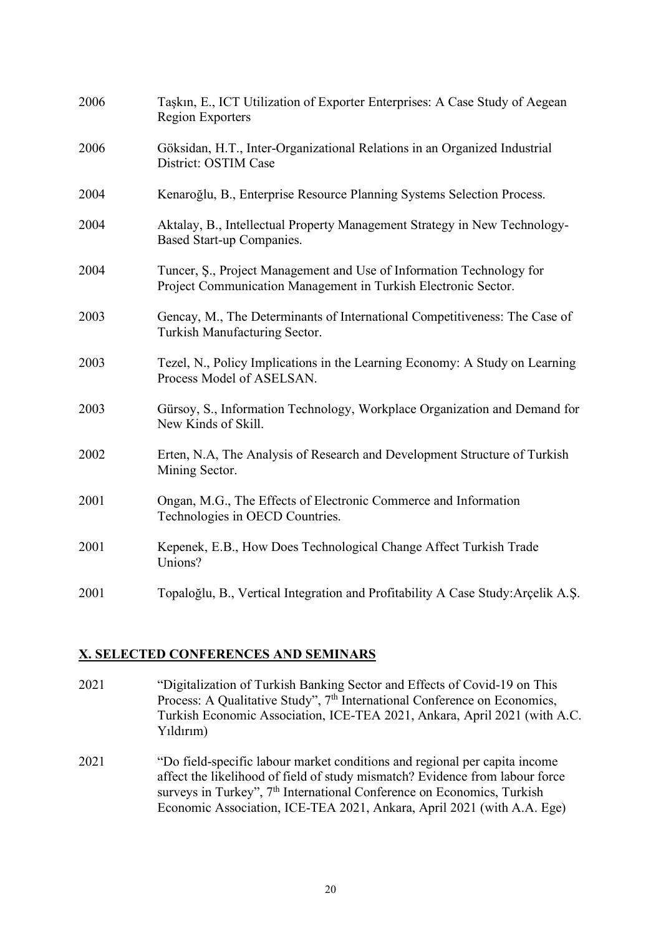| 2006 | Taşkın, E., ICT Utilization of Exporter Enterprises: A Case Study of Aegean<br><b>Region Exporters</b>                                 |
|------|----------------------------------------------------------------------------------------------------------------------------------------|
| 2006 | Göksidan, H.T., Inter-Organizational Relations in an Organized Industrial<br>District: OSTIM Case                                      |
| 2004 | Kenaroğlu, B., Enterprise Resource Planning Systems Selection Process.                                                                 |
| 2004 | Aktalay, B., Intellectual Property Management Strategy in New Technology-<br><b>Based Start-up Companies.</b>                          |
| 2004 | Tuncer, S., Project Management and Use of Information Technology for<br>Project Communication Management in Turkish Electronic Sector. |
| 2003 | Gencay, M., The Determinants of International Competitiveness: The Case of<br>Turkish Manufacturing Sector.                            |
| 2003 | Tezel, N., Policy Implications in the Learning Economy: A Study on Learning<br>Process Model of ASELSAN.                               |
| 2003 | Gürsoy, S., Information Technology, Workplace Organization and Demand for<br>New Kinds of Skill.                                       |
| 2002 | Erten, N.A., The Analysis of Research and Development Structure of Turkish<br>Mining Sector.                                           |
| 2001 | Ongan, M.G., The Effects of Electronic Commerce and Information<br>Technologies in OECD Countries.                                     |
| 2001 | Kepenek, E.B., How Does Technological Change Affect Turkish Trade<br>Unions?                                                           |
| 2001 | Topaloğlu, B., Vertical Integration and Profitability A Case Study: Arçelik A.Ş.                                                       |

## **X. SELECTED CONFERENCES AND SEMINARS**

- 2021 "Digitalization of Turkish Banking Sector and Effects of Covid-19 on This Process: A Qualitative Study", 7<sup>th</sup> International Conference on Economics, Turkish Economic Association, ICE-TEA 2021, Ankara, April 2021 (with A.C. Yıldırım)
- 2021 "Do field-specific labour market conditions and regional per capita income affect the likelihood of field of study mismatch? Evidence from labour force surveys in Turkey", 7<sup>th</sup> International Conference on Economics, Turkish Economic Association, ICE-TEA 2021, Ankara, April 2021 (with A.A. Ege)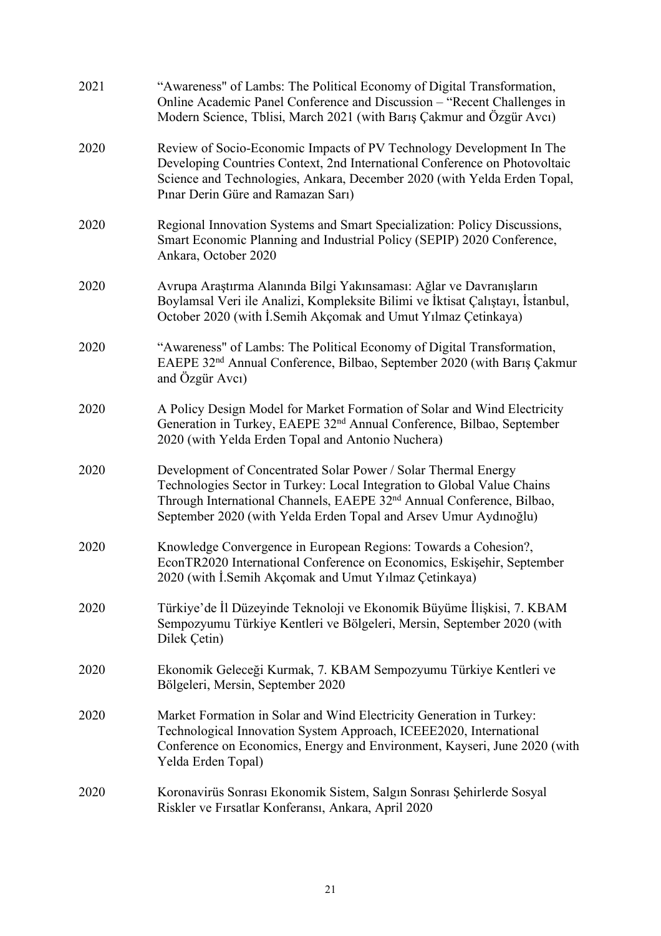| 2021 | "Awareness" of Lambs: The Political Economy of Digital Transformation,<br>Online Academic Panel Conference and Discussion - "Recent Challenges in<br>Modern Science, Tblisi, March 2021 (with Baris Cakmur and Özgür Avci)                                                                         |
|------|----------------------------------------------------------------------------------------------------------------------------------------------------------------------------------------------------------------------------------------------------------------------------------------------------|
| 2020 | Review of Socio-Economic Impacts of PV Technology Development In The<br>Developing Countries Context, 2nd International Conference on Photovoltaic<br>Science and Technologies, Ankara, December 2020 (with Yelda Erden Topal,<br>Pinar Derin Güre and Ramazan Sari)                               |
| 2020 | Regional Innovation Systems and Smart Specialization: Policy Discussions,<br>Smart Economic Planning and Industrial Policy (SEPIP) 2020 Conference,<br>Ankara, October 2020                                                                                                                        |
| 2020 | Avrupa Araştırma Alanında Bilgi Yakınsaması: Ağlar ve Davranışların<br>Boylamsal Veri ile Analizi, Kompleksite Bilimi ve İktisat Çalıştayı, İstanbul,<br>October 2020 (with I.Semih Akçomak and Umut Yılmaz Çetinkaya)                                                                             |
| 2020 | "Awareness" of Lambs: The Political Economy of Digital Transformation,<br>EAEPE 32 <sup>nd</sup> Annual Conference, Bilbao, September 2020 (with Barış Çakmur<br>and Özgür Avcı)                                                                                                                   |
| 2020 | A Policy Design Model for Market Formation of Solar and Wind Electricity<br>Generation in Turkey, EAEPE 32 <sup>nd</sup> Annual Conference, Bilbao, September<br>2020 (with Yelda Erden Topal and Antonio Nuchera)                                                                                 |
| 2020 | Development of Concentrated Solar Power / Solar Thermal Energy<br>Technologies Sector in Turkey: Local Integration to Global Value Chains<br>Through International Channels, EAEPE 32 <sup>nd</sup> Annual Conference, Bilbao,<br>September 2020 (with Yelda Erden Topal and Arsev Umur Aydınoğlu) |
| 2020 | Knowledge Convergence in European Regions: Towards a Cohesion?,<br>EconTR2020 International Conference on Economics, Eskişehir, September<br>2020 (with I.Semih Akçomak and Umut Yılmaz Çetinkaya)                                                                                                 |
| 2020 | Türkiye'de İl Düzeyinde Teknoloji ve Ekonomik Büyüme İlişkisi, 7. KBAM<br>Sempozyumu Türkiye Kentleri ve Bölgeleri, Mersin, September 2020 (with<br>Dilek Çetin)                                                                                                                                   |
| 2020 | Ekonomik Geleceği Kurmak, 7. KBAM Sempozyumu Türkiye Kentleri ve<br>Bölgeleri, Mersin, September 2020                                                                                                                                                                                              |
| 2020 | Market Formation in Solar and Wind Electricity Generation in Turkey:<br>Technological Innovation System Approach, ICEEE2020, International<br>Conference on Economics, Energy and Environment, Kayseri, June 2020 (with<br>Yelda Erden Topal)                                                      |
| 2020 | Koronavirüs Sonrası Ekonomik Sistem, Salgın Sonrası Şehirlerde Sosyal<br>Riskler ve Fırsatlar Konferansı, Ankara, April 2020                                                                                                                                                                       |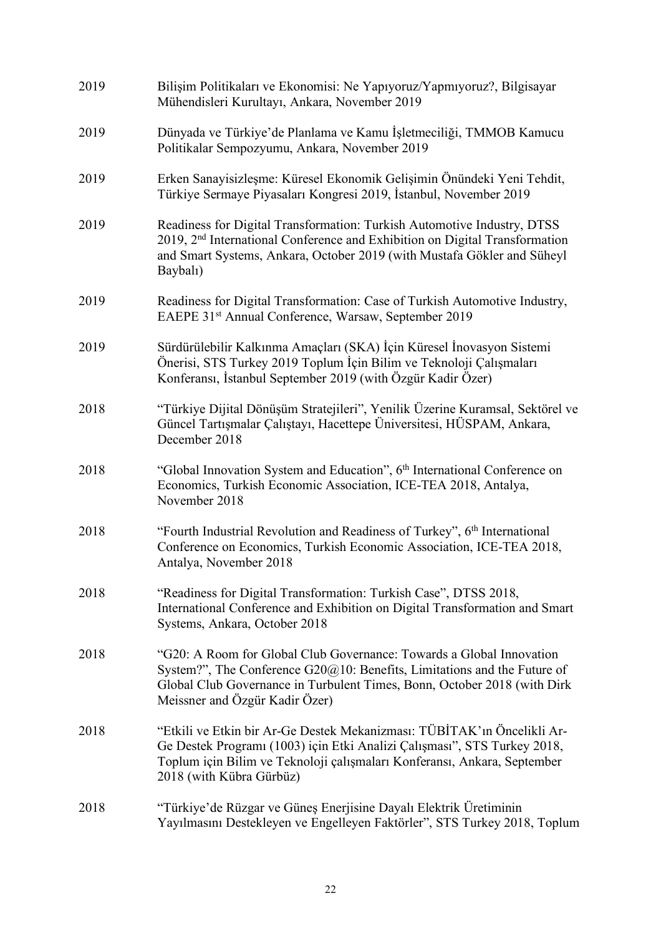| 2019 | Bilişim Politikaları ve Ekonomisi: Ne Yapıyoruz/Yapmıyoruz?, Bilgisayar<br>Mühendisleri Kurultayı, Ankara, November 2019                                                                                                                                          |
|------|-------------------------------------------------------------------------------------------------------------------------------------------------------------------------------------------------------------------------------------------------------------------|
| 2019 | Dünyada ve Türkiye'de Planlama ve Kamu İşletmeciliği, TMMOB Kamucu<br>Politikalar Sempozyumu, Ankara, November 2019                                                                                                                                               |
| 2019 | Erken Sanayisizleşme: Küresel Ekonomik Gelişimin Önündeki Yeni Tehdit,<br>Türkiye Sermaye Piyasaları Kongresi 2019, İstanbul, November 2019                                                                                                                       |
| 2019 | Readiness for Digital Transformation: Turkish Automotive Industry, DTSS<br>2019, 2 <sup>nd</sup> International Conference and Exhibition on Digital Transformation<br>and Smart Systems, Ankara, October 2019 (with Mustafa Gökler and Süheyl<br>Baybalı)         |
| 2019 | Readiness for Digital Transformation: Case of Turkish Automotive Industry,<br>EAEPE 31 <sup>st</sup> Annual Conference, Warsaw, September 2019                                                                                                                    |
| 2019 | Sürdürülebilir Kalkınma Amaçları (SKA) İçin Küresel İnovasyon Sistemi<br>Önerisi, STS Turkey 2019 Toplum İçin Bilim ve Teknoloji Çalışmaları<br>Konferansı, İstanbul September 2019 (with Özgür Kadir Özer)                                                       |
| 2018 | "Türkiye Dijital Dönüşüm Stratejileri", Yenilik Üzerine Kuramsal, Sektörel ve<br>Güncel Tartışmalar Çalıştayı, Hacettepe Üniversitesi, HÜSPAM, Ankara,<br>December 2018                                                                                           |
| 2018 | "Global Innovation System and Education", 6 <sup>th</sup> International Conference on<br>Economics, Turkish Economic Association, ICE-TEA 2018, Antalya,<br>November 2018                                                                                         |
| 2018 | "Fourth Industrial Revolution and Readiness of Turkey", 6th International<br>Conference on Economics, Turkish Economic Association, ICE-TEA 2018,<br>Antalya, November 2018                                                                                       |
| 2018 | "Readiness for Digital Transformation: Turkish Case", DTSS 2018,<br>International Conference and Exhibition on Digital Transformation and Smart<br>Systems, Ankara, October 2018                                                                                  |
| 2018 | "G20: A Room for Global Club Governance: Towards a Global Innovation<br>System?", The Conference $G20@10$ : Benefits, Limitations and the Future of<br>Global Club Governance in Turbulent Times, Bonn, October 2018 (with Dirk<br>Meissner and Özgür Kadir Özer) |
| 2018 | "Etkili ve Etkin bir Ar-Ge Destek Mekanizması: TÜBİTAK'ın Öncelikli Ar-<br>Ge Destek Programı (1003) için Etki Analizi Çalışması", STS Turkey 2018,<br>Toplum için Bilim ve Teknoloji çalışmaları Konferansı, Ankara, September<br>2018 (with Kübra Gürbüz)       |
| 2018 | "Türkiye'de Rüzgar ve Güneş Enerjisine Dayalı Elektrik Üretiminin<br>Yayılmasını Destekleyen ve Engelleyen Faktörler", STS Turkey 2018, Toplum                                                                                                                    |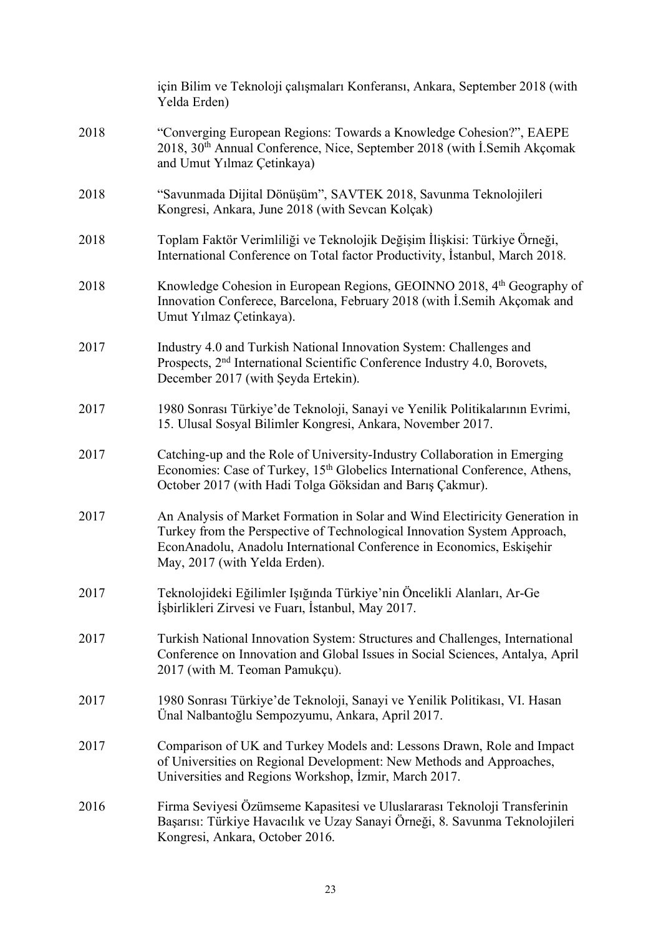|      | için Bilim ve Teknoloji çalışmaları Konferansı, Ankara, September 2018 (with<br>Yelda Erden)                                                                                                                                                                       |
|------|--------------------------------------------------------------------------------------------------------------------------------------------------------------------------------------------------------------------------------------------------------------------|
| 2018 | "Converging European Regions: Towards a Knowledge Cohesion?", EAEPE<br>2018, 30 <sup>th</sup> Annual Conference, Nice, September 2018 (with I.Semih Akçomak<br>and Umut Yılmaz Çetinkaya)                                                                          |
| 2018 | "Savunmada Dijital Dönüşüm", SAVTEK 2018, Savunma Teknolojileri<br>Kongresi, Ankara, June 2018 (with Sevcan Kolçak)                                                                                                                                                |
| 2018 | Toplam Faktör Verimliliği ve Teknolojik Değişim İlişkisi: Türkiye Örneği,<br>International Conference on Total factor Productivity, Istanbul, March 2018.                                                                                                          |
| 2018 | Knowledge Cohesion in European Regions, GEOINNO 2018, 4 <sup>th</sup> Geography of<br>Innovation Conferece, Barcelona, February 2018 (with İ.Semih Akçomak and<br>Umut Yılmaz Çetinkaya).                                                                          |
| 2017 | Industry 4.0 and Turkish National Innovation System: Challenges and<br>Prospects, 2 <sup>nd</sup> International Scientific Conference Industry 4.0, Borovets,<br>December 2017 (with Şeyda Ertekin).                                                               |
| 2017 | 1980 Sonrası Türkiye'de Teknoloji, Sanayi ve Yenilik Politikalarının Evrimi,<br>15. Ulusal Sosyal Bilimler Kongresi, Ankara, November 2017.                                                                                                                        |
| 2017 | Catching-up and the Role of University-Industry Collaboration in Emerging<br>Economies: Case of Turkey, 15 <sup>th</sup> Globelics International Conference, Athens,<br>October 2017 (with Hadi Tolga Göksidan and Barış Çakmur).                                  |
| 2017 | An Analysis of Market Formation in Solar and Wind Electiricity Generation in<br>Turkey from the Perspective of Technological Innovation System Approach,<br>EconAnadolu, Anadolu International Conference in Economics, Eskişehir<br>May, 2017 (with Yelda Erden). |
| 2017 | Teknolojideki Eğilimler Işığında Türkiye'nin Öncelikli Alanları, Ar-Ge<br>İşbirlikleri Zirvesi ve Fuarı, İstanbul, May 2017.                                                                                                                                       |
| 2017 | Turkish National Innovation System: Structures and Challenges, International<br>Conference on Innovation and Global Issues in Social Sciences, Antalya, April<br>2017 (with M. Teoman Pamukçu).                                                                    |
| 2017 | 1980 Sonrası Türkiye'de Teknoloji, Sanayi ve Yenilik Politikası, VI. Hasan<br>Ünal Nalbantoğlu Sempozyumu, Ankara, April 2017.                                                                                                                                     |
| 2017 | Comparison of UK and Turkey Models and: Lessons Drawn, Role and Impact<br>of Universities on Regional Development: New Methods and Approaches,<br>Universities and Regions Workshop, İzmir, March 2017.                                                            |
| 2016 | Firma Seviyesi Özümseme Kapasitesi ve Uluslararası Teknoloji Transferinin<br>Başarısı: Türkiye Havacılık ve Uzay Sanayi Örneği, 8. Savunma Teknolojileri<br>Kongresi, Ankara, October 2016.                                                                        |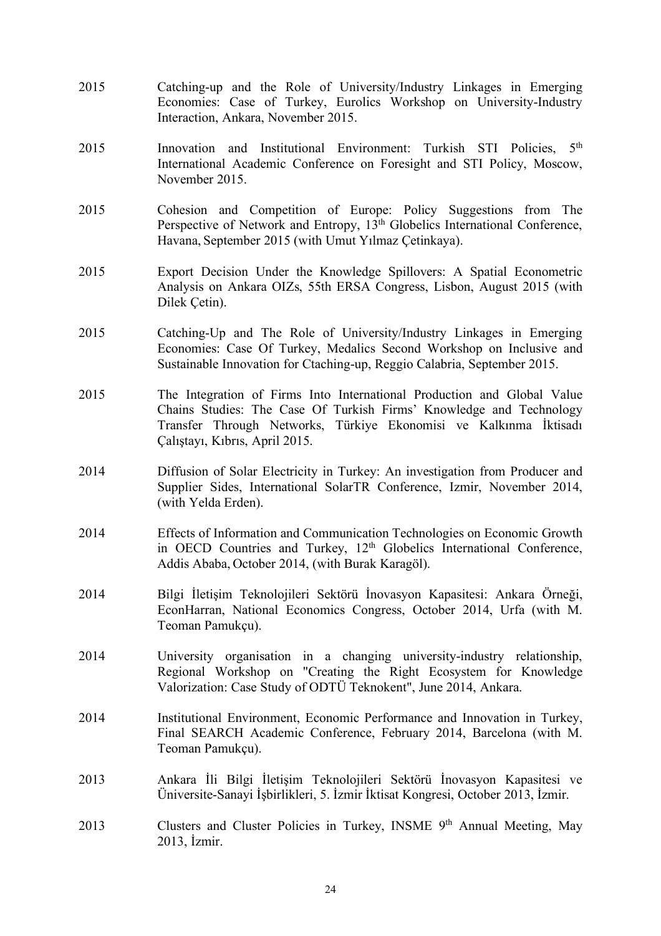- 2015 Catching-up and the Role of University/Industry Linkages in Emerging Economies: Case of Turkey, Eurolics Workshop on University-Industry Interaction, Ankara, November 2015.
- 2015 Innovation and Institutional Environment: Turkish STI Policies, 5<sup>th</sup> International Academic Conference on Foresight and STI Policy, Moscow, November 2015.
- 2015 Cohesion and Competition of Europe: Policy Suggestions from The Perspective of Network and Entropy, 13<sup>th</sup> Globelics International Conference, Havana, September 2015 (with Umut Yılmaz Çetinkaya).
- 2015 Export Decision Under the Knowledge Spillovers: A Spatial Econometric Analysis on Ankara OIZs, 55th ERSA Congress, Lisbon, August 2015 (with Dilek Çetin).
- 2015 Catching-Up and The Role of University/Industry Linkages in Emerging Economies: Case Of Turkey, Medalics Second Workshop on Inclusive and Sustainable Innovation for Ctaching-up, Reggio Calabria, September 2015.
- 2015 The Integration of Firms Into International Production and Global Value Chains Studies: The Case Of Turkish Firms' Knowledge and Technology Transfer Through Networks, Türkiye Ekonomisi ve Kalkınma İktisadı Çalıştayı, Kıbrıs, April 2015.
- 2014 Diffusion of Solar Electricity in Turkey: An investigation from Producer and Supplier Sides, International SolarTR Conference, Izmir, November 2014, (with Yelda Erden).
- 2014 Effects of Information and Communication Technologies on Economic Growth in OECD Countries and Turkey, 12<sup>th</sup> Globelics International Conference, Addis Ababa, October 2014, (with Burak Karagöl).
- 2014 Bilgi İletişim Teknolojileri Sektörü İnovasyon Kapasitesi: Ankara Örneği, EconHarran, National Economics Congress, October 2014, Urfa (with M. Teoman Pamukçu).
- 2014 University organisation in a changing university-industry relationship, Regional Workshop on "Creating the Right Ecosystem for Knowledge Valorization: Case Study of ODTÜ Teknokent", June 2014, Ankara.
- 2014 Institutional Environment, Economic Performance and Innovation in Turkey, Final SEARCH Academic Conference, February 2014, Barcelona (with M. Teoman Pamukçu).
- 2013 Ankara İli Bilgi İletişim Teknolojileri Sektörü İnovasyon Kapasitesi ve Üniversite-Sanayi İşbirlikleri, 5. İzmir İktisat Kongresi, October 2013, İzmir.
- 2013 Clusters and Cluster Policies in Turkey, INSME 9<sup>th</sup> Annual Meeting, May 2013, İzmir.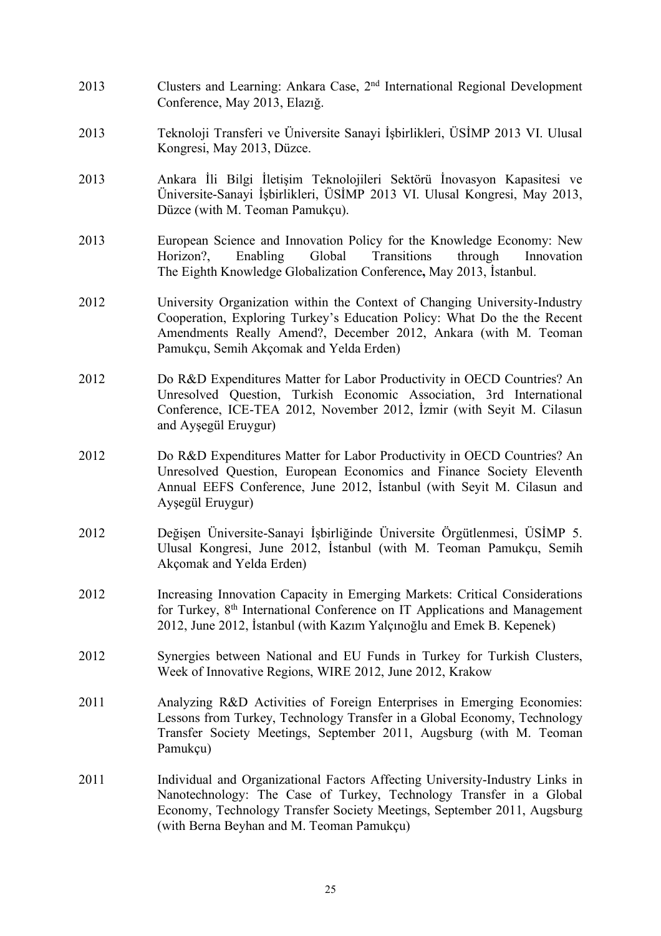- 2013 Clusters and Learning: Ankara Case, 2nd International Regional Development Conference, May 2013, Elazığ.
- 2013 Teknoloji Transferi ve Üniversite Sanayi İşbirlikleri, ÜSİMP 2013 VI. Ulusal Kongresi, May 2013, Düzce.
- 2013 Ankara İli Bilgi İletişim Teknolojileri Sektörü İnovasyon Kapasitesi ve Üniversite-Sanayi İşbirlikleri, ÜSİMP 2013 VI. Ulusal Kongresi, May 2013, Düzce (with M. Teoman Pamukçu).
- 2013 European Science and Innovation Policy for the Knowledge Economy: New Horizon?, Enabling Global Transitions through Innovation The Eighth Knowledge Globalization Conference**,** May 2013, İstanbul.
- 2012 University Organization within the Context of Changing University-Industry Cooperation, Exploring Turkey's Education Policy: What Do the the Recent Amendments Really Amend?, December 2012, Ankara (with M. Teoman Pamukçu, Semih Akçomak and Yelda Erden)
- 2012 Do R&D Expenditures Matter for Labor Productivity in OECD Countries? An Unresolved Question, Turkish Economic Association, 3rd International Conference, ICE-TEA 2012, November 2012, İzmir (with Seyit M. Cilasun and Ayşegül Eruygur)
- 2012 Do R&D Expenditures Matter for Labor Productivity in OECD Countries? An Unresolved Question, European Economics and Finance Society Eleventh Annual EEFS Conference, June 2012, İstanbul (with Seyit M. Cilasun and Ayşegül Eruygur)
- 2012 Değişen Üniversite-Sanayi İşbirliğinde Üniversite Örgütlenmesi, ÜSİMP 5. Ulusal Kongresi, June 2012, İstanbul (with M. Teoman Pamukçu, Semih Akçomak and Yelda Erden)
- 2012 Increasing Innovation Capacity in Emerging Markets: Critical Considerations for Turkey, 8th International Conference on IT Applications and Management 2012, June 2012, İstanbul (with Kazım Yalçınoğlu and Emek B. Kepenek)
- 2012 Synergies between National and EU Funds in Turkey for Turkish Clusters, Week of Innovative Regions, WIRE 2012, June 2012, Krakow
- 2011 Analyzing R&D Activities of Foreign Enterprises in Emerging Economies: Lessons from Turkey, Technology Transfer in a Global Economy, Technology Transfer Society Meetings, September 2011, Augsburg (with M. Teoman Pamukçu)
- 2011 Individual and Organizational Factors Affecting University-Industry Links in Nanotechnology: The Case of Turkey, Technology Transfer in a Global Economy, Technology Transfer Society Meetings, September 2011, Augsburg (with Berna Beyhan and M. Teoman Pamukçu)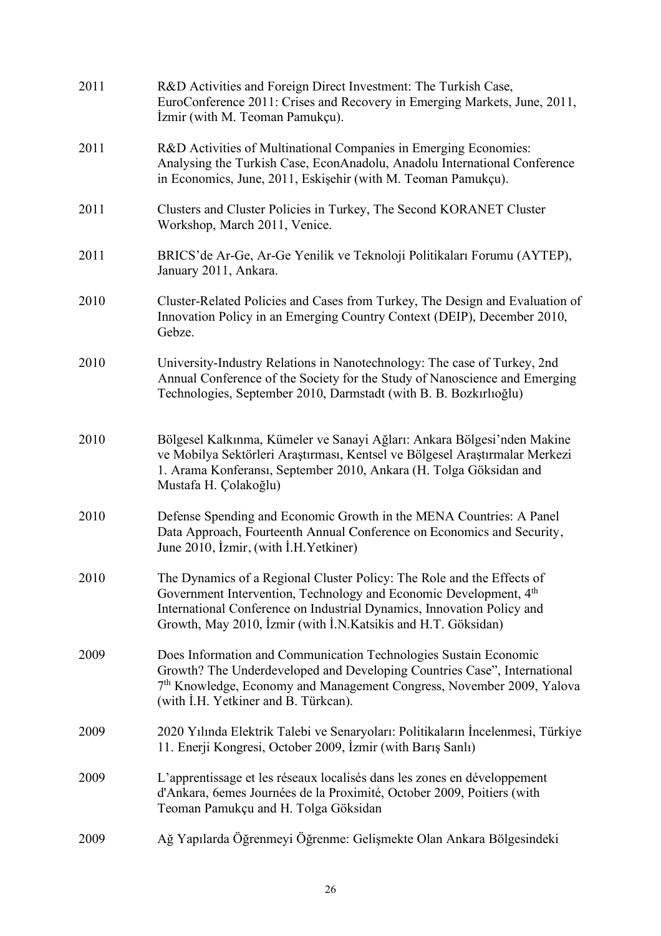| 2011 | R&D Activities and Foreign Direct Investment: The Turkish Case,<br>EuroConference 2011: Crises and Recovery in Emerging Markets, June, 2011,<br>Izmir (with M. Teoman Pamukçu).                                                                                                                    |
|------|----------------------------------------------------------------------------------------------------------------------------------------------------------------------------------------------------------------------------------------------------------------------------------------------------|
| 2011 | R&D Activities of Multinational Companies in Emerging Economies:<br>Analysing the Turkish Case, EconAnadolu, Anadolu International Conference<br>in Economics, June, 2011, Eskişehir (with M. Teoman Pamukçu).                                                                                     |
| 2011 | Clusters and Cluster Policies in Turkey, The Second KORANET Cluster<br>Workshop, March 2011, Venice.                                                                                                                                                                                               |
| 2011 | BRICS' de Ar-Ge, Ar-Ge Yenilik ve Teknoloji Politikaları Forumu (AYTEP),<br>January 2011, Ankara.                                                                                                                                                                                                  |
| 2010 | Cluster-Related Policies and Cases from Turkey, The Design and Evaluation of<br>Innovation Policy in an Emerging Country Context (DEIP), December 2010,<br>Gebze.                                                                                                                                  |
| 2010 | University-Industry Relations in Nanotechnology: The case of Turkey, 2nd<br>Annual Conference of the Society for the Study of Nanoscience and Emerging<br>Technologies, September 2010, Darmstadt (with B. B. Bozkırlıoğlu)                                                                        |
| 2010 | Bölgesel Kalkınma, Kümeler ve Sanayi Ağları: Ankara Bölgesi'nden Makine<br>ve Mobilya Sektörleri Araştırması, Kentsel ve Bölgesel Araştırmalar Merkezi<br>1. Arama Konferansı, September 2010, Ankara (H. Tolga Göksidan and<br>Mustafa H. Çolakoğlu)                                              |
| 2010 | Defense Spending and Economic Growth in the MENA Countries: A Panel<br>Data Approach, Fourteenth Annual Conference on Economics and Security,<br>June 2010, Izmir, (with I.H. Yetkiner)                                                                                                            |
| 2010 | The Dynamics of a Regional Cluster Policy: The Role and the Effects of<br>Government Intervention, Technology and Economic Development, 4 <sup>th</sup><br>International Conference on Industrial Dynamics, Innovation Policy and<br>Growth, May 2010, İzmir (with İ.N.Katsikis and H.T. Göksidan) |
| 2009 | Does Information and Communication Technologies Sustain Economic<br>Growth? The Underdeveloped and Developing Countries Case", International<br>7 <sup>th</sup> Knowledge, Economy and Management Congress, November 2009, Yalova<br>(with I.H. Yetkiner and B. Türkcan).                          |
| 2009 | 2020 Yılında Elektrik Talebi ve Senaryoları: Politikaların İncelenmesi, Türkiye<br>11. Enerji Kongresi, October 2009, İzmir (with Barış Sanlı)                                                                                                                                                     |
| 2009 | L'apprentissage et les réseaux localisés dans les zones en développement<br>d'Ankara, 6emes Journées de la Proximité, October 2009, Poitiers (with<br>Teoman Pamukçu and H. Tolga Göksidan                                                                                                         |
| 2009 | Ağ Yapılarda Öğrenmeyi Öğrenme: Gelişmekte Olan Ankara Bölgesindeki                                                                                                                                                                                                                                |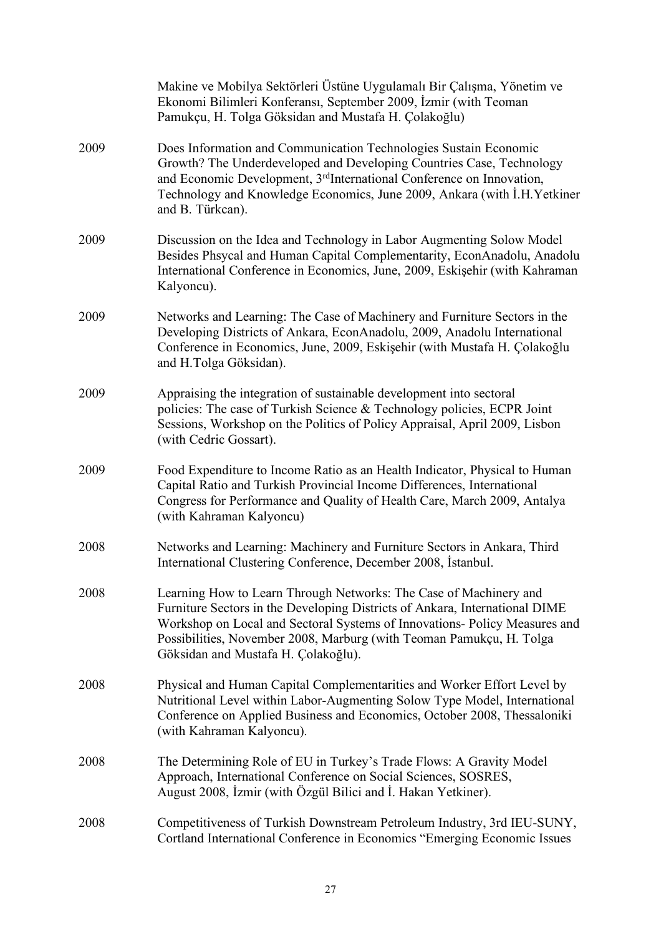|      | Makine ve Mobilya Sektörleri Üstüne Uygulamalı Bir Çalışma, Yönetim ve<br>Ekonomi Bilimleri Konferansı, September 2009, İzmir (with Teoman<br>Pamukçu, H. Tolga Göksidan and Mustafa H. Çolakoğlu)                                                                                                                                            |
|------|-----------------------------------------------------------------------------------------------------------------------------------------------------------------------------------------------------------------------------------------------------------------------------------------------------------------------------------------------|
| 2009 | Does Information and Communication Technologies Sustain Economic<br>Growth? The Underdeveloped and Developing Countries Case, Technology<br>and Economic Development, 3 <sup>rd</sup> International Conference on Innovation,<br>Technology and Knowledge Economics, June 2009, Ankara (with I.H. Yetkiner<br>and B. Türkcan).                |
| 2009 | Discussion on the Idea and Technology in Labor Augmenting Solow Model<br>Besides Phsycal and Human Capital Complementarity, EconAnadolu, Anadolu<br>International Conference in Economics, June, 2009, Eskişehir (with Kahraman<br>Kalyoncu).                                                                                                 |
| 2009 | Networks and Learning: The Case of Machinery and Furniture Sectors in the<br>Developing Districts of Ankara, EconAnadolu, 2009, Anadolu International<br>Conference in Economics, June, 2009, Eskişehir (with Mustafa H. Çolakoğlu<br>and H.Tolga Göksidan).                                                                                  |
| 2009 | Appraising the integration of sustainable development into sectoral<br>policies: The case of Turkish Science & Technology policies, ECPR Joint<br>Sessions, Workshop on the Politics of Policy Appraisal, April 2009, Lisbon<br>(with Cedric Gossart).                                                                                        |
| 2009 | Food Expenditure to Income Ratio as an Health Indicator, Physical to Human<br>Capital Ratio and Turkish Provincial Income Differences, International<br>Congress for Performance and Quality of Health Care, March 2009, Antalya<br>(with Kahraman Kalyoncu)                                                                                  |
| 2008 | Networks and Learning: Machinery and Furniture Sectors in Ankara, Third<br>International Clustering Conference, December 2008, Istanbul.                                                                                                                                                                                                      |
| 2008 | Learning How to Learn Through Networks: The Case of Machinery and<br>Furniture Sectors in the Developing Districts of Ankara, International DIME<br>Workshop on Local and Sectoral Systems of Innovations- Policy Measures and<br>Possibilities, November 2008, Marburg (with Teoman Pamukçu, H. Tolga<br>Göksidan and Mustafa H. Çolakoğlu). |
| 2008 | Physical and Human Capital Complementarities and Worker Effort Level by<br>Nutritional Level within Labor-Augmenting Solow Type Model, International<br>Conference on Applied Business and Economics, October 2008, Thessaloniki<br>(with Kahraman Kalyoncu).                                                                                 |
| 2008 | The Determining Role of EU in Turkey's Trade Flows: A Gravity Model<br>Approach, International Conference on Social Sciences, SOSRES,<br>August 2008, İzmir (with Özgül Bilici and İ. Hakan Yetkiner).                                                                                                                                        |
| 2008 | Competitiveness of Turkish Downstream Petroleum Industry, 3rd IEU-SUNY,<br>Cortland International Conference in Economics "Emerging Economic Issues                                                                                                                                                                                           |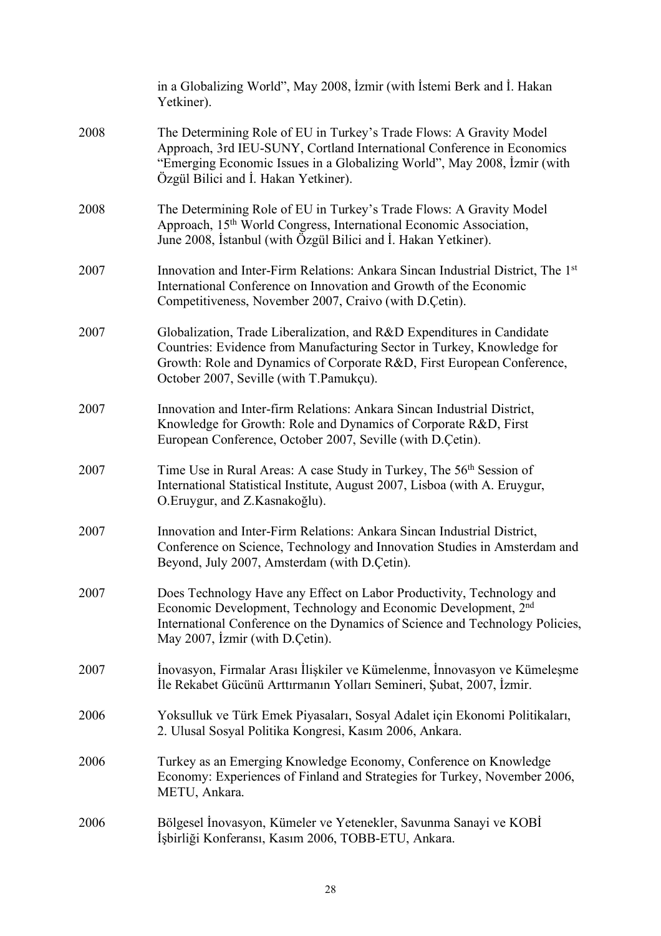|      | in a Globalizing World", May 2008, İzmir (with İstemi Berk and İ. Hakan<br>Yetkiner).                                                                                                                                                                                 |
|------|-----------------------------------------------------------------------------------------------------------------------------------------------------------------------------------------------------------------------------------------------------------------------|
| 2008 | The Determining Role of EU in Turkey's Trade Flows: A Gravity Model<br>Approach, 3rd IEU-SUNY, Cortland International Conference in Economics<br>"Emerging Economic Issues in a Globalizing World", May 2008, İzmir (with<br>Özgül Bilici and I. Hakan Yetkiner).     |
| 2008 | The Determining Role of EU in Turkey's Trade Flows: A Gravity Model<br>Approach, 15 <sup>th</sup> World Congress, International Economic Association,<br>June 2008, İstanbul (with Özgül Bilici and İ. Hakan Yetkiner).                                               |
| 2007 | Innovation and Inter-Firm Relations: Ankara Sincan Industrial District, The 1 <sup>st</sup><br>International Conference on Innovation and Growth of the Economic<br>Competitiveness, November 2007, Craivo (with D.Cetin).                                            |
| 2007 | Globalization, Trade Liberalization, and R&D Expenditures in Candidate<br>Countries: Evidence from Manufacturing Sector in Turkey, Knowledge for<br>Growth: Role and Dynamics of Corporate R&D, First European Conference,<br>October 2007, Seville (with T.Pamukçu). |
| 2007 | Innovation and Inter-firm Relations: Ankara Sincan Industrial District,<br>Knowledge for Growth: Role and Dynamics of Corporate R&D, First<br>European Conference, October 2007, Seville (with D.Cetin).                                                              |
| 2007 | Time Use in Rural Areas: A case Study in Turkey, The 56 <sup>th</sup> Session of<br>International Statistical Institute, August 2007, Lisboa (with A. Eruygur,<br>O.Eruygur, and Z.Kasnakoğlu).                                                                       |
| 2007 | Innovation and Inter-Firm Relations: Ankara Sincan Industrial District,<br>Conference on Science, Technology and Innovation Studies in Amsterdam and<br>Beyond, July 2007, Amsterdam (with D.Cetin).                                                                  |
| 2007 | Does Technology Have any Effect on Labor Productivity, Technology and<br>Economic Development, Technology and Economic Development, 2nd<br>International Conference on the Dynamics of Science and Technology Policies,<br>May 2007, İzmir (with D.Cetin).            |
| 2007 | Inovasyon, Firmalar Arası İlişkiler ve Kümelenme, İnnovasyon ve Kümeleşme<br>İle Rekabet Gücünü Arttırmanın Yolları Semineri, Şubat, 2007, İzmir.                                                                                                                     |
| 2006 | Yoksulluk ve Türk Emek Piyasaları, Sosyal Adalet için Ekonomi Politikaları,<br>2. Ulusal Sosyal Politika Kongresi, Kasım 2006, Ankara.                                                                                                                                |
| 2006 | Turkey as an Emerging Knowledge Economy, Conference on Knowledge<br>Economy: Experiences of Finland and Strategies for Turkey, November 2006,<br>METU, Ankara.                                                                                                        |
| 2006 | Bölgesel İnovasyon, Kümeler ve Yetenekler, Savunma Sanayi ve KOBİ<br>İşbirliği Konferansı, Kasım 2006, TOBB-ETU, Ankara.                                                                                                                                              |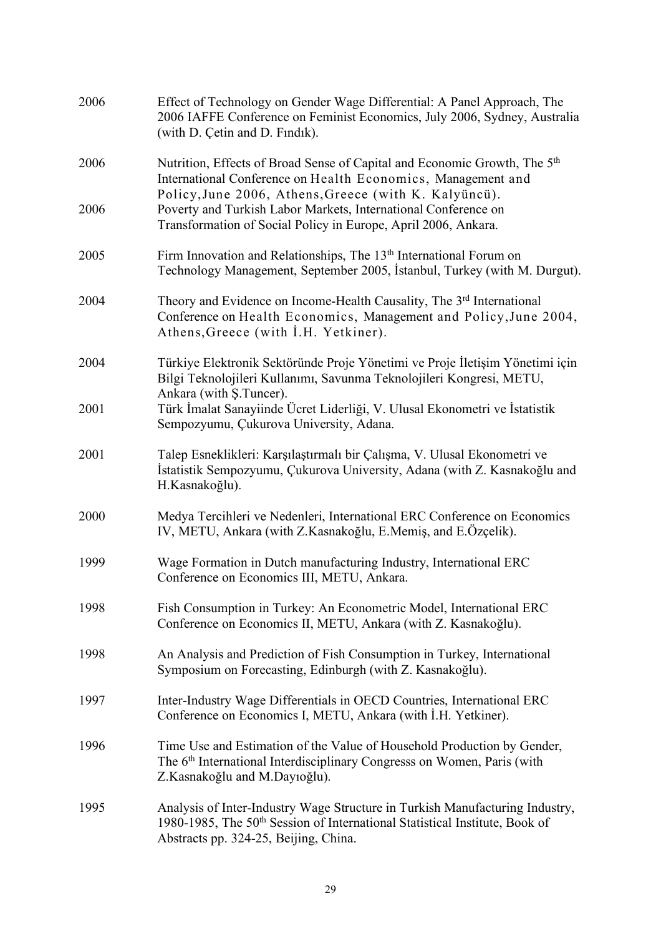| 2006 | Effect of Technology on Gender Wage Differential: A Panel Approach, The<br>2006 IAFFE Conference on Feminist Economics, July 2006, Sydney, Australia<br>(with D. Cetin and D. Findik).                         |
|------|----------------------------------------------------------------------------------------------------------------------------------------------------------------------------------------------------------------|
| 2006 | Nutrition, Effects of Broad Sense of Capital and Economic Growth, The 5 <sup>th</sup><br>International Conference on Health Economics, Management and<br>Policy, June 2006, Athens, Greece (with K. Kalyüncü). |
| 2006 | Poverty and Turkish Labor Markets, International Conference on<br>Transformation of Social Policy in Europe, April 2006, Ankara.                                                                               |
| 2005 | Firm Innovation and Relationships, The 13 <sup>th</sup> International Forum on<br>Technology Management, September 2005, İstanbul, Turkey (with M. Durgut).                                                    |
| 2004 | Theory and Evidence on Income-Health Causality, The 3 <sup>rd</sup> International<br>Conference on Health Economics, Management and Policy, June 2004,<br>Athens, Greece (with I.H. Yetkiner).                 |
| 2004 | Türkiye Elektronik Sektöründe Proje Yönetimi ve Proje İletişim Yönetimi için<br>Bilgi Teknolojileri Kullanımı, Savunma Teknolojileri Kongresi, METU,<br>Ankara (with S.Tuncer).                                |
| 2001 | Türk İmalat Sanayiinde Ücret Liderliği, V. Ulusal Ekonometri ve İstatistik<br>Sempozyumu, Çukurova University, Adana.                                                                                          |
| 2001 | Talep Esneklikleri: Karşılaştırmalı bir Çalışma, V. Ulusal Ekonometri ve<br>İstatistik Sempozyumu, Çukurova University, Adana (with Z. Kasnakoğlu and<br>H.Kasnakoğlu).                                        |
| 2000 | Medya Tercihleri ve Nedenleri, International ERC Conference on Economics<br>IV, METU, Ankara (with Z.Kasnakoğlu, E.Memiş, and E.Özçelik).                                                                      |
| 1999 | Wage Formation in Dutch manufacturing Industry, International ERC<br>Conference on Economics III, METU, Ankara.                                                                                                |
| 1998 | Fish Consumption in Turkey: An Econometric Model, International ERC<br>Conference on Economics II, METU, Ankara (with Z. Kasnakoğlu).                                                                          |
| 1998 | An Analysis and Prediction of Fish Consumption in Turkey, International<br>Symposium on Forecasting, Edinburgh (with Z. Kasnakoğlu).                                                                           |
| 1997 | Inter-Industry Wage Differentials in OECD Countries, International ERC<br>Conference on Economics I, METU, Ankara (with I.H. Yetkiner).                                                                        |
| 1996 | Time Use and Estimation of the Value of Household Production by Gender,<br>The 6 <sup>th</sup> International Interdisciplinary Congresss on Women, Paris (with<br>Z.Kasnakoğlu and M.Dayıoğlu).                |
| 1995 | Analysis of Inter-Industry Wage Structure in Turkish Manufacturing Industry,<br>1980-1985, The 50th Session of International Statistical Institute, Book of<br>Abstracts pp. 324-25, Beijing, China.           |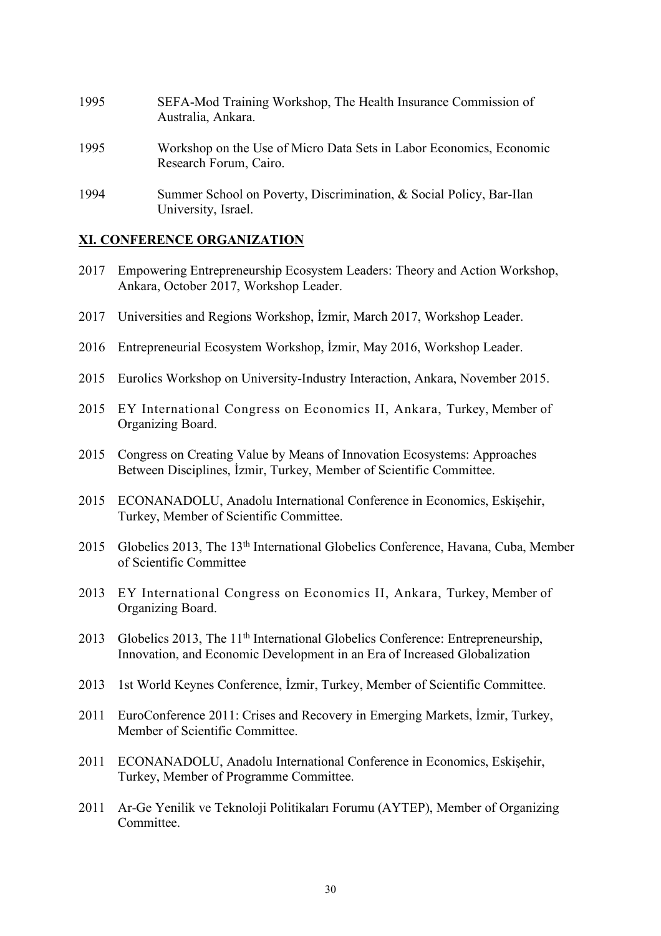| 1995 | SEFA-Mod Training Workshop, The Health Insurance Commission of<br>Australia, Ankara.          |
|------|-----------------------------------------------------------------------------------------------|
| 1995 | Workshop on the Use of Micro Data Sets in Labor Economics, Economic<br>Research Forum, Cairo. |
| 1994 | Summer School on Poverty, Discrimination, & Social Policy, Bar-Ilan<br>University, Israel.    |

## **XI. CONFERENCE ORGANIZATION**

- 2017 Empowering Entrepreneurship Ecosystem Leaders: Theory and Action Workshop, Ankara, October 2017, Workshop Leader.
- 2017 Universities and Regions Workshop, İzmir, March 2017, Workshop Leader.
- 2016 Entrepreneurial Ecosystem Workshop, İzmir, May 2016, Workshop Leader.
- 2015 Eurolics Workshop on University-Industry Interaction, Ankara, November 2015.
- 2015 EY International Congress on Economics II, Ankara, Turkey, Member of Organizing Board.
- 2015 Congress on Creating Value by Means of Innovation Ecosystems: Approaches Between Disciplines, İzmir, Turkey, Member of Scientific Committee.
- 2015 ECONANADOLU, Anadolu International Conference in Economics, Eskişehir, Turkey, Member of Scientific Committee.
- 2015 Globelics 2013, The 13<sup>th</sup> International Globelics Conference, Havana, Cuba, Member of Scientific Committee
- 2013 EY International Congress on Economics II, Ankara, Turkey, Member of Organizing Board.
- 2013 Globelics 2013, The 11<sup>th</sup> International Globelics Conference: Entrepreneurship, Innovation, and Economic Development in an Era of Increased Globalization
- 2013 1st World Keynes Conference, İzmir, Turkey, Member of Scientific Committee.
- 2011 EuroConference 2011: Crises and Recovery in Emerging Markets, İzmir, Turkey, Member of Scientific Committee.
- 2011 ECONANADOLU, Anadolu International Conference in Economics, Eskişehir, Turkey, Member of Programme Committee.
- 2011 Ar-Ge Yenilik ve Teknoloji Politikaları Forumu (AYTEP), Member of Organizing **Committee**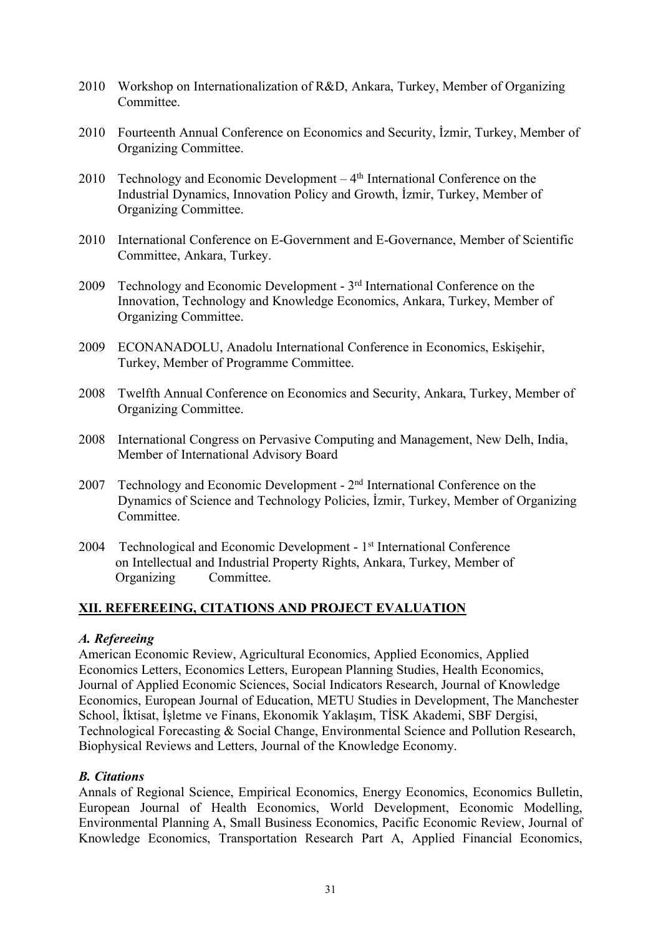- 2010 Workshop on Internationalization of R&D, Ankara, Turkey, Member of Organizing Committee.
- 2010 Fourteenth Annual Conference on Economics and Security, İzmir, Turkey, Member of Organizing Committee.
- 2010 Technology and Economic Development  $-4<sup>th</sup>$  International Conference on the Industrial Dynamics, Innovation Policy and Growth, İzmir, Turkey, Member of Organizing Committee.
- 2010 International Conference on E-Government and E-Governance, Member of Scientific Committee, Ankara, Turkey.
- 2009 Technology and Economic Development 3rd International Conference on the Innovation, Technology and Knowledge Economics, Ankara, Turkey, Member of Organizing Committee.
- 2009 ECONANADOLU, Anadolu International Conference in Economics, Eskişehir, Turkey, Member of Programme Committee.
- 2008 Twelfth Annual Conference on Economics and Security, Ankara, Turkey, Member of Organizing Committee.
- 2008 International Congress on Pervasive Computing and Management, New Delh, India, Member of International Advisory Board
- 2007 Technology and Economic Development 2nd International Conference on the Dynamics of Science and Technology Policies, İzmir, Turkey, Member of Organizing Committee.
- 2004 Technological and Economic Development 1<sup>st</sup> International Conference on Intellectual and Industrial Property Rights, Ankara, Turkey, Member of Organizing Committee.

## **XII. REFEREEING, CITATIONS AND PROJECT EVALUATION**

#### *A. Refereeing*

American Economic Review, Agricultural Economics, Applied Economics, Applied Economics Letters, Economics Letters, European Planning Studies, Health Economics, Journal of Applied Economic Sciences, Social Indicators Research, Journal of Knowledge Economics, European Journal of Education, METU Studies in Development, The Manchester School, İktisat, İşletme ve Finans, Ekonomik Yaklaşım, TİSK Akademi, SBF Dergisi, Technological Forecasting & Social Change, Environmental Science and Pollution Research, Biophysical Reviews and Letters, Journal of the Knowledge Economy.

## *B. Citations*

Annals of Regional Science, Empirical Economics, Energy Economics, Economics Bulletin, European Journal of Health Economics, World Development, Economic Modelling, Environmental Planning A, Small Business Economics, Pacific Economic Review, Journal of Knowledge Economics, Transportation Research Part A, Applied Financial Economics,